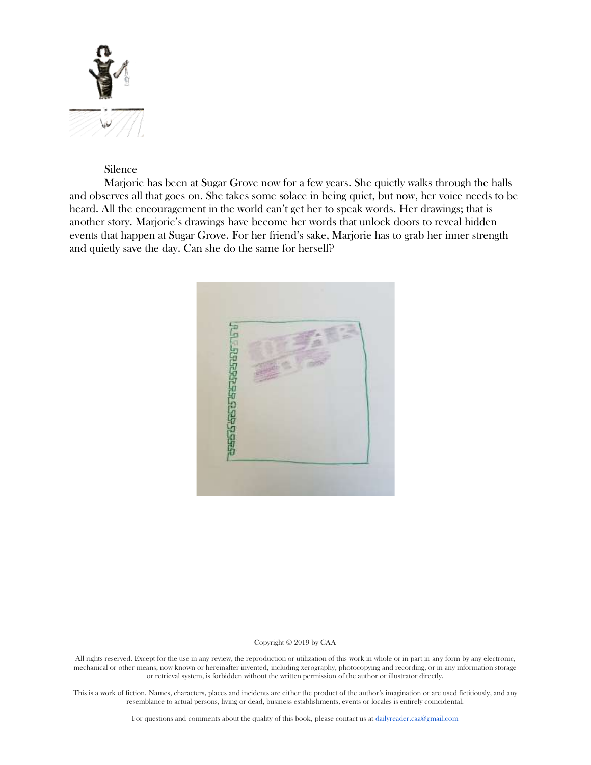

# Silence

Marjorie has been at Sugar Grove now for a few years. She quietly walks through the halls and observes all that goes on. She takes some solace in being quiet, but now, her voice needs to be heard. All the encouragement in the world can't get her to speak words. Her drawings; that is another story. Marjorie's drawings have become her words that unlock doors to reveal hidden events that happen at Sugar Grove. For her friend's sake, Marjorie has to grab her inner strength and quietly save the day. Can she do the same for herself?



#### Copyright © 2019 by CAA

All rights reserved. Except for the use in any review, the reproduction or utilization of this work in whole or in part in any form by any electronic, mechanical or other means, now known or hereinafter invented, including xerography, photocopying and recording, or in any information storage or retrieval system, is forbidden without the written permission of the author or illustrator directly.

This is a work of fiction. Names, characters, places and incidents are either the product of the author's imagination or are used fictitiously, and any resemblance to actual persons, living or dead, business establishments, events or locales is entirely coincidental.

For questions and comments about the quality of this book, please contact us at [dailyreader.caa@gmail.com](mailto:dailyreader.caa@gmail.com)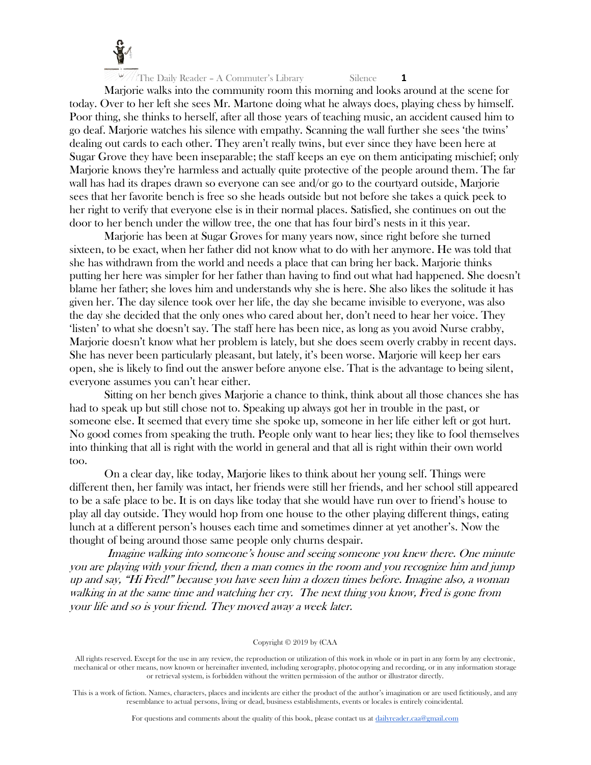

Marjorie walks into the community room this morning and looks around at the scene for today. Over to her left she sees Mr. Martone doing what he always does, playing chess by himself. Poor thing, she thinks to herself, after all those years of teaching music, an accident caused him to go deaf. Marjorie watches his silence with empathy. Scanning the wall further she sees 'the twins' dealing out cards to each other. They aren't really twins, but ever since they have been here at Sugar Grove they have been inseparable; the staff keeps an eye on them anticipating mischief; only Marjorie knows they're harmless and actually quite protective of the people around them. The far wall has had its drapes drawn so everyone can see and/or go to the courtyard outside, Marjorie sees that her favorite bench is free so she heads outside but not before she takes a quick peek to her right to verify that everyone else is in their normal places. Satisfied, she continues on out the door to her bench under the willow tree, the one that has four bird's nests in it this year.

Marjorie has been at Sugar Groves for many years now, since right before she turned sixteen, to be exact, when her father did not know what to do with her anymore. He was told that she has withdrawn from the world and needs a place that can bring her back. Marjorie thinks putting her here was simpler for her father than having to find out what had happened. She doesn't blame her father; she loves him and understands why she is here. She also likes the solitude it has given her. The day silence took over her life, the day she became invisible to everyone, was also the day she decided that the only ones who cared about her, don't need to hear her voice. They 'listen' to what she doesn't say. The staff here has been nice, as long as you avoid Nurse crabby, Marjorie doesn't know what her problem is lately, but she does seem overly crabby in recent days. She has never been particularly pleasant, but lately, it's been worse. Marjorie will keep her ears open, she is likely to find out the answer before anyone else. That is the advantage to being silent, everyone assumes you can't hear either.

Sitting on her bench gives Marjorie a chance to think, think about all those chances she has had to speak up but still chose not to. Speaking up always got her in trouble in the past, or someone else. It seemed that every time she spoke up, someone in her life either left or got hurt. No good comes from speaking the truth. People only want to hear lies; they like to fool themselves into thinking that all is right with the world in general and that all is right within their own world too.

On a clear day, like today, Marjorie likes to think about her young self. Things were different then, her family was intact, her friends were still her friends, and her school still appeared to be a safe place to be. It is on days like today that she would have run over to friend's house to play all day outside. They would hop from one house to the other playing different things, eating lunch at a different person's houses each time and sometimes dinner at yet another's. Now the thought of being around those same people only churns despair.

Imagine walking into someone's house and seeing someone you knew there. One minute you are playing with your friend, then a man comes in the room and you recognize him and jump up and say, "Hi Fred!" because you have seen him a dozen times before. Imagine also, a woman walking in at the same time and watching her cry. The next thing you know, Fred is gone from your life and so is your friend. They moved away a week later.

#### Copyright © 2019 by (CAA

All rights reserved. Except for the use in any review, the reproduction or utilization of this work in whole or in part in any form by any electronic, mechanical or other means, now known or hereinafter invented, including xerography, photocopying and recording, or in any information storage or retrieval system, is forbidden without the written permission of the author or illustrator directly.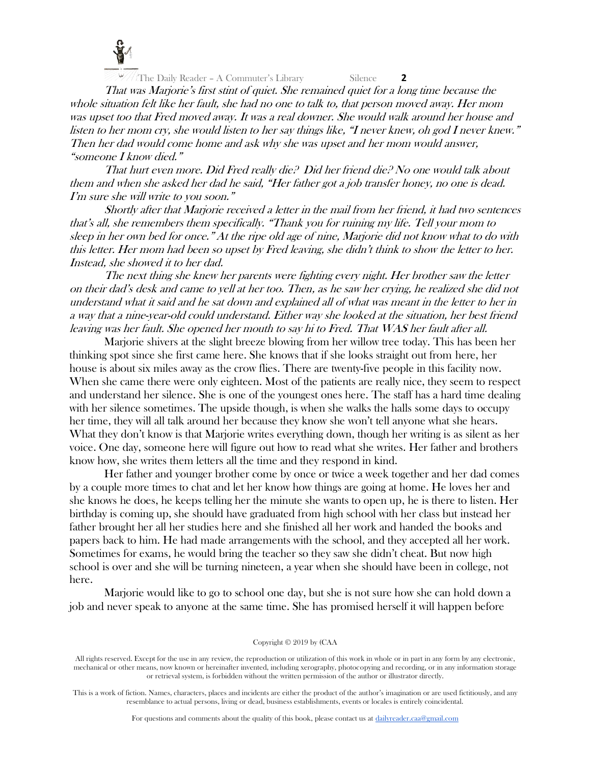

That was Marjorie's first stint of quiet. She remained quiet for a long time because the whole situation felt like her fault, she had no one to talk to, that person moved away. Her mom was upset too that Fred moved away. It was a real downer. She would walk around her house and listen to her mom cry, she would listen to her say things like, "I never knew, oh god I never knew." Then her dad would come home and ask why she was upset and her mom would answer, "someone I know died."

That hurt even more. Did Fred really die? Did her friend die? No one would talk about them and when she asked her dad he said, "Her father got a job transfer honey, no one is dead. I'm sure she will write to you soon."

Shortly after that Marjorie received a letter in the mail from her friend, it had two sentences that's all, she remembers them specifically. "Thank you for ruining my life. Tell your mom to sleep in her own bed for once." At the ripe old age of nine, Marjorie did not know what to do with this letter. Her mom had been so upset by Fred leaving, she didn't think to show the letter to her. Instead, she showed it to her dad.

The next thing she knew her parents were fighting every night. Her brother saw the letter on their dad's desk and came to yell at her too. Then, as he saw her crying, he realized she did not understand what it said and he sat down and explained all of what was meant in the letter to her in a way that a nine-year-old could understand. Either way she looked at the situation, her best friend leaving was her fault. She opened her mouth to say hi to Fred. That WAS her fault after all.

Marjorie shivers at the slight breeze blowing from her willow tree today. This has been her thinking spot since she first came here. She knows that if she looks straight out from here, her house is about six miles away as the crow flies. There are twenty-five people in this facility now. When she came there were only eighteen. Most of the patients are really nice, they seem to respect and understand her silence. She is one of the youngest ones here. The staff has a hard time dealing with her silence sometimes. The upside though, is when she walks the halls some days to occupy her time, they will all talk around her because they know she won't tell anyone what she hears. What they don't know is that Marjorie writes everything down, though her writing is as silent as her voice. One day, someone here will figure out how to read what she writes. Her father and brothers know how, she writes them letters all the time and they respond in kind.

Her father and younger brother come by once or twice a week together and her dad comes by a couple more times to chat and let her know how things are going at home. He loves her and she knows he does, he keeps telling her the minute she wants to open up, he is there to listen. Her birthday is coming up, she should have graduated from high school with her class but instead her father brought her all her studies here and she finished all her work and handed the books and papers back to him. He had made arrangements with the school, and they accepted all her work. Sometimes for exams, he would bring the teacher so they saw she didn't cheat. But now high school is over and she will be turning nineteen, a year when she should have been in college, not here.

Marjorie would like to go to school one day, but she is not sure how she can hold down a job and never speak to anyone at the same time. She has promised herself it will happen before

#### Copyright © 2019 by (CAA

All rights reserved. Except for the use in any review, the reproduction or utilization of this work in whole or in part in any form by any electronic, mechanical or other means, now known or hereinafter invented, including xerography, photocopying and recording, or in any information storage or retrieval system, is forbidden without the written permission of the author or illustrator directly.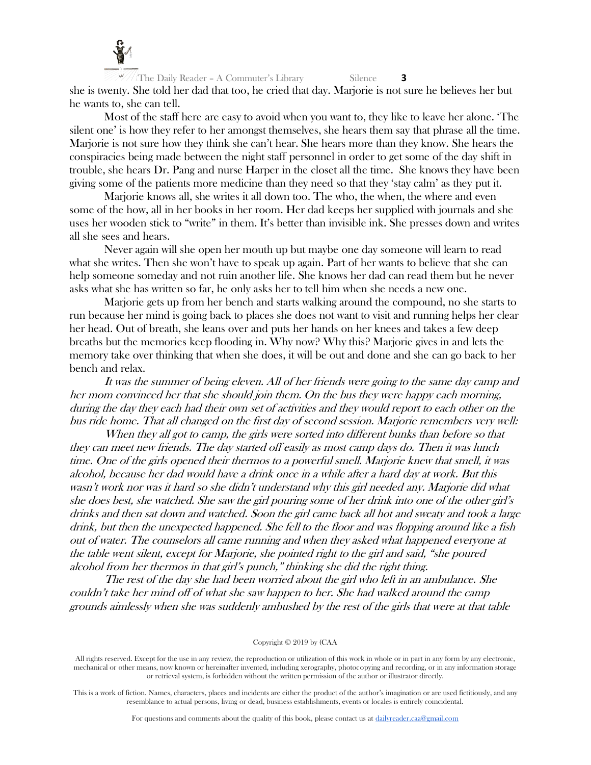

 $\frac{f}{f}$ The Daily Reader – A Commuter's Library Silence **3** she is twenty. She told her dad that too, he cried that day. Marjorie is not sure he believes her but he wants to, she can tell.

Most of the staff here are easy to avoid when you want to, they like to leave her alone. 'The silent one' is how they refer to her amongst themselves, she hears them say that phrase all the time. Marjorie is not sure how they think she can't hear. She hears more than they know. She hears the conspiracies being made between the night staff personnel in order to get some of the day shift in trouble, she hears Dr. Pang and nurse Harper in the closet all the time. She knows they have been giving some of the patients more medicine than they need so that they 'stay calm' as they put it.

Marjorie knows all, she writes it all down too. The who, the when, the where and even some of the how, all in her books in her room. Her dad keeps her supplied with journals and she uses her wooden stick to "write" in them. It's better than invisible ink. She presses down and writes all she sees and hears.

Never again will she open her mouth up but maybe one day someone will learn to read what she writes. Then she won't have to speak up again. Part of her wants to believe that she can help someone someday and not ruin another life. She knows her dad can read them but he never asks what she has written so far, he only asks her to tell him when she needs a new one.

Marjorie gets up from her bench and starts walking around the compound, no she starts to run because her mind is going back to places she does not want to visit and running helps her clear her head. Out of breath, she leans over and puts her hands on her knees and takes a few deep breaths but the memories keep flooding in. Why now? Why this? Marjorie gives in and lets the memory take over thinking that when she does, it will be out and done and she can go back to her bench and relax.

It was the summer of being eleven. All of her friends were going to the same day camp and her mom convinced her that she should join them. On the bus they were happy each morning, during the day they each had their own set of activities and they would report to each other on the bus ride home. That all changed on the first day of second session. Marjorie remembers very well:

When they all got to camp, the girls were sorted into different bunks than before so that they can meet new friends. The day started off easily as most camp days do. Then it was lunch time. One of the girls opened their thermos to a powerful smell. Marjorie knew that smell, it was alcohol, because her dad would have a drink once in a while after a hard day at work. But this wasn't work nor was it hard so she didn't understand why this girl needed any. Marjorie did what she does best, she watched. She saw the girl pouring some of her drink into one of the other girl's drinks and then sat down and watched. Soon the girl came back all hot and sweaty and took a large drink, but then the unexpected happened. She fell to the floor and was flopping around like a fish out of water. The counselors all came running and when they asked what happened everyone at the table went silent, except for Marjorie, she pointed right to the girl and said, "she poured alcohol from her thermos in that girl's punch," thinking she did the right thing.

The rest of the day she had been worried about the girl who left in an ambulance. She couldn't take her mind off of what she saw happen to her. She had walked around the camp grounds aimlessly when she was suddenly ambushed by the rest of the girls that were at that table

#### Copyright © 2019 by (CAA

All rights reserved. Except for the use in any review, the reproduction or utilization of this work in whole or in part in any form by any electronic, mechanical or other means, now known or hereinafter invented, including xerography, photocopying and recording, or in any information storage or retrieval system, is forbidden without the written permission of the author or illustrator directly.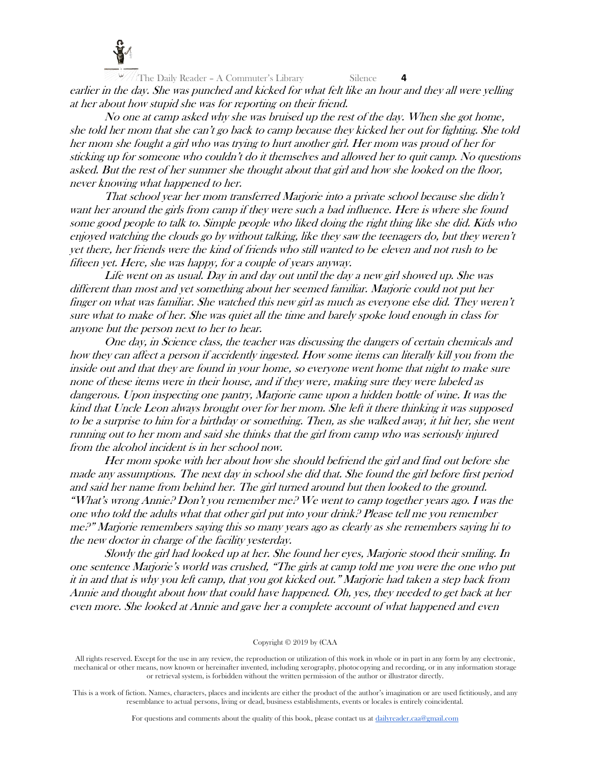

The Daily Reader - A Commuter's Library Silence 4 earlier in the day. She was punched and kicked for what felt like an hour and they all were yelling at her about how stupid she was for reporting on their friend.

No one at camp asked why she was bruised up the rest of the day. When she got home, she told her mom that she can't go back to camp because they kicked her out for fighting. She told her mom she fought a girl who was trying to hurt another girl. Her mom was proud of her for sticking up for someone who couldn't do it themselves and allowed her to quit camp. No questions asked. But the rest of her summer she thought about that girl and how she looked on the floor, never knowing what happened to her.

That school year her mom transferred Marjorie into a private school because she didn't want her around the girls from camp if they were such a bad influence. Here is where she found some good people to talk to. Simple people who liked doing the right thing like she did. Kids who enjoyed watching the clouds go by without talking, like they saw the teenagers do, but they weren't yet there, her friends were the kind of friends who still wanted to be eleven and not rush to be fifteen yet. Here, she was happy, for a couple of years anyway.

Life went on as usual. Day in and day out until the day a new girl showed up. She was different than most and yet something about her seemed familiar. Marjorie could not put her finger on what was familiar. She watched this new girl as much as everyone else did. They weren't sure what to make of her. She was quiet all the time and barely spoke loud enough in class for anyone but the person next to her to hear.

One day, in Science class, the teacher was discussing the dangers of certain chemicals and how they can affect a person if accidently ingested. How some items can literally kill you from the inside out and that they are found in your home, so everyone went home that night to make sure none of these items were in their house, and if they were, making sure they were labeled as dangerous. Upon inspecting one pantry, Marjorie came upon a hidden bottle of wine. It was the kind that Uncle Leon always brought over for her mom. She left it there thinking it was supposed to be a surprise to him for a birthday or something. Then, as she walked away, it hit her, she went running out to her mom and said she thinks that the girl from camp who was seriously injured from the alcohol incident is in her school now.

Her mom spoke with her about how she should befriend the girl and find out before she made any assumptions. The next day in school she did that. She found the girl before first period and said her name from behind her. The girl turned around but then looked to the ground. "What's wrong Annie? Don't you remember me? We went to camp together years ago. I was the one who told the adults what that other girl put into your drink? Please tell me you remember me?" Marjorie remembers saying this so many years ago as clearly as she remembers saying hi to the new doctor in charge of the facility yesterday.

Slowly the girl had looked up at her. She found her eyes, Marjorie stood their smiling. In one sentence Marjorie's world was crushed, "The girls at camp told me you were the one who put it in and that is why you left camp, that you got kicked out." Marjorie had taken a step back from Annie and thought about how that could have happened. Oh, yes, they needed to get back at her even more. She looked at Annie and gave her a complete account of what happened and even

#### Copyright © 2019 by (CAA

All rights reserved. Except for the use in any review, the reproduction or utilization of this work in whole or in part in any form by any electronic, mechanical or other means, now known or hereinafter invented, including xerography, photocopying and recording, or in any information storage or retrieval system, is forbidden without the written permission of the author or illustrator directly.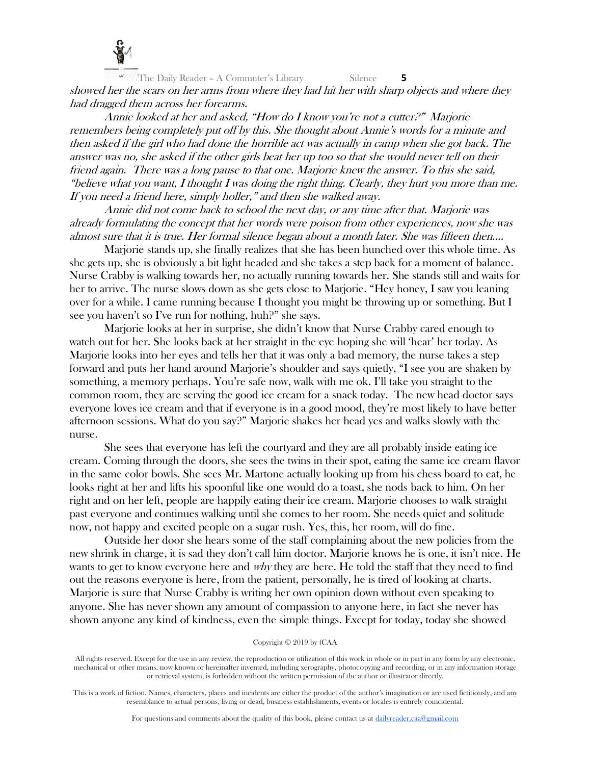

All The Daily Reader – A Commuter's Library Silence **5** showed her the scars on her arms from where they had hit her with sharp objects and where they had dragged them across her forearms.

Annie looked at her and asked, "How do I know you're not a cutter?" Marjorie remembers being completely put off by this. She thought about Annie's words for a minute and then asked if the girl who had done the horrible act was actually in camp when she got back. The answer was no, she asked if the other girls beat her up too so that she would never tell on their friend again. There was a long pause to that one. Marjorie knew the answer. To this she said, "believe what you want, I thought I was doing the right thing. Clearly, they hurt you more than me. If you need a friend here, simply holler," and then she walked away.

Annie did not come back to school the next day, or any time after that. Marjorie was already formulating the concept that her words were poison from other experiences, now she was almost sure that it is true. Her formal silence began about a month later. She was fifteen then….

Marjorie stands up, she finally realizes that she has been hunched over this whole time. As she gets up, she is obviously a bit light headed and she takes a step back for a moment of balance. Nurse Crabby is walking towards her, no actually running towards her. She stands still and waits for her to arrive. The nurse slows down as she gets close to Marjorie. "Hey honey, I saw you leaning over for a while. I came running because I thought you might be throwing up or something. But I see you haven't so I've run for nothing, huh?" she says.

Marjorie looks at her in surprise, she didn't know that Nurse Crabby cared enough to watch out for her. She looks back at her straight in the eye hoping she will 'hear' her today. As Marjorie looks into her eyes and tells her that it was only a bad memory, the nurse takes a step forward and puts her hand around Marjorie's shoulder and says quietly, "I see you are shaken by something, a memory perhaps. You're safe now, walk with me ok. I'll take you straight to the common room, they are serving the good ice cream for a snack today. The new head doctor says everyone loves ice cream and that if everyone is in a good mood, they're most likely to have better afternoon sessions. What do you say?" Marjorie shakes her head yes and walks slowly with the nurse.

She sees that everyone has left the courtyard and they are all probably inside eating ice cream. Coming through the doors, she sees the twins in their spot, eating the same ice cream flavor in the same color bowls. She sees Mr. Martone actually looking up from his chess board to eat, he looks right at her and lifts his spoonful like one would do a toast, she nods back to him. On her right and on her left, people are happily eating their ice cream. Marjorie chooses to walk straight past everyone and continues walking until she comes to her room. She needs quiet and solitude now, not happy and excited people on a sugar rush. Yes, this, her room, will do fine.

Outside her door she hears some of the staff complaining about the new policies from the new shrink in charge, it is sad they don't call him doctor. Marjorie knows he is one, it isn't nice. He wants to get to know everyone here and *why* they are here. He told the staff that they need to find out the reasons everyone is here, from the patient, personally, he is tired of looking at charts. Marjorie is sure that Nurse Crabby is writing her own opinion down without even speaking to anyone. She has never shown any amount of compassion to anyone here, in fact she never has shown anyone any kind of kindness, even the simple things. Except for today, today she showed

# Copyright © 2019 by (CAA

All rights reserved. Except for the use in any review, the reproduction or utilization of this work in whole or in part in any form by any electronic, mechanical or other means, now known or hereinafter invented, including xerography, photocopying and recording, or in any information storage or retrieval system, is forbidden without the written permission of the author or illustrator directly.

This is a work of fiction. Names, characters, places and incidents are either the product of the author's imagination or are used fictitiously, and any resemblance to actual persons, living or dead, business establishments, events or locales is entirely coincidental.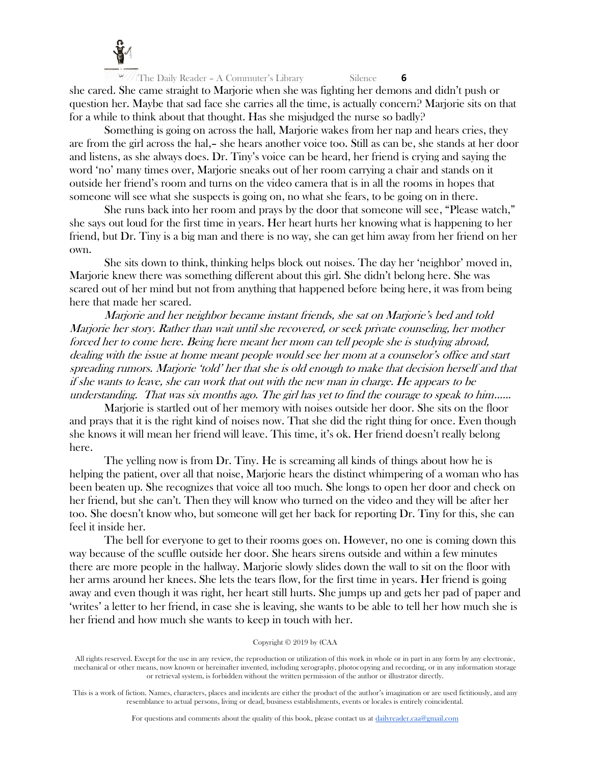

All The Daily Reader – A Commuter's Library Silence **6** she cared. She came straight to Marjorie when she was fighting her demons and didn't push or question her. Maybe that sad face she carries all the time, is actually concern? Marjorie sits on that for a while to think about that thought. Has she misjudged the nurse so badly?

Something is going on across the hall, Marjorie wakes from her nap and hears cries, they are from the girl across the hal,– she hears another voice too. Still as can be, she stands at her door and listens, as she always does. Dr. Tiny's voice can be heard, her friend is crying and saying the word 'no' many times over, Marjorie sneaks out of her room carrying a chair and stands on it outside her friend's room and turns on the video camera that is in all the rooms in hopes that someone will see what she suspects is going on, no what she fears, to be going on in there.

She runs back into her room and prays by the door that someone will see, "Please watch," she says out loud for the first time in years. Her heart hurts her knowing what is happening to her friend, but Dr. Tiny is a big man and there is no way, she can get him away from her friend on her own.

She sits down to think, thinking helps block out noises. The day her 'neighbor' moved in, Marjorie knew there was something different about this girl. She didn't belong here. She was scared out of her mind but not from anything that happened before being here, it was from being here that made her scared.

Marjorie and her neighbor became instant friends, she sat on Marjorie's bed and told Marjorie her story. Rather than wait until she recovered, or seek private counseling, her mother forced her to come here. Being here meant her mom can tell people she is studying abroad, dealing with the issue at home meant people would see her mom at a counselor's office and start spreading rumors. Marjorie 'told' her that she is old enough to make that decision herself and that if she wants to leave, she can work that out with the new man in charge. He appears to be understanding. That was six months ago. The girl has yet to find the courage to speak to him…...

Marjorie is startled out of her memory with noises outside her door. She sits on the floor and prays that it is the right kind of noises now. That she did the right thing for once. Even though she knows it will mean her friend will leave. This time, it's ok. Her friend doesn't really belong here.

The yelling now is from Dr. Tiny. He is screaming all kinds of things about how he is helping the patient, over all that noise, Marjorie hears the distinct whimpering of a woman who has been beaten up. She recognizes that voice all too much. She longs to open her door and check on her friend, but she can't. Then they will know who turned on the video and they will be after her too. She doesn't know who, but someone will get her back for reporting Dr. Tiny for this, she can feel it inside her.

The bell for everyone to get to their rooms goes on. However, no one is coming down this way because of the scuffle outside her door. She hears sirens outside and within a few minutes there are more people in the hallway. Marjorie slowly slides down the wall to sit on the floor with her arms around her knees. She lets the tears flow, for the first time in years. Her friend is going away and even though it was right, her heart still hurts. She jumps up and gets her pad of paper and 'writes' a letter to her friend, in case she is leaving, she wants to be able to tell her how much she is her friend and how much she wants to keep in touch with her.

# Copyright © 2019 by (CAA

All rights reserved. Except for the use in any review, the reproduction or utilization of this work in whole or in part in any form by any electronic, mechanical or other means, now known or hereinafter invented, including xerography, photocopying and recording, or in any information storage or retrieval system, is forbidden without the written permission of the author or illustrator directly.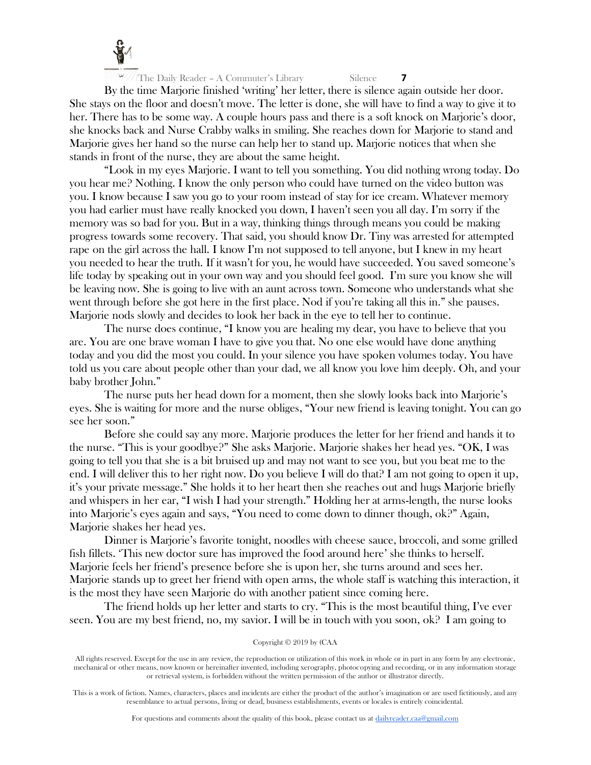

By the time Marjorie finished 'writing' her letter, there is silence again outside her door. She stays on the floor and doesn't move. The letter is done, she will have to find a way to give it to her. There has to be some way. A couple hours pass and there is a soft knock on Marjorie's door, she knocks back and Nurse Crabby walks in smiling. She reaches down for Marjorie to stand and Marjorie gives her hand so the nurse can help her to stand up. Marjorie notices that when she stands in front of the nurse, they are about the same height.

"Look in my eyes Marjorie. I want to tell you something. You did nothing wrong today. Do you hear me? Nothing. I know the only person who could have turned on the video button was you. I know because I saw you go to your room instead of stay for ice cream. Whatever memory you had earlier must have really knocked you down, I haven't seen you all day. I'm sorry if the memory was so bad for you. But in a way, thinking things through means you could be making progress towards some recovery. That said, you should know Dr. Tiny was arrested for attempted rape on the girl across the hall. I know I'm not supposed to tell anyone, but I knew in my heart you needed to hear the truth. If it wasn't for you, he would have succeeded. You saved someone's life today by speaking out in your own way and you should feel good. I'm sure you know she will be leaving now. She is going to live with an aunt across town. Someone who understands what she went through before she got here in the first place. Nod if you're taking all this in." she pauses. Marjorie nods slowly and decides to look her back in the eye to tell her to continue.

The nurse does continue, "I know you are healing my dear, you have to believe that you are. You are one brave woman I have to give you that. No one else would have done anything today and you did the most you could. In your silence you have spoken volumes today. You have told us you care about people other than your dad, we all know you love him deeply. Oh, and your baby brother John."

The nurse puts her head down for a moment, then she slowly looks back into Marjorie's eyes. She is waiting for more and the nurse obliges, "Your new friend is leaving tonight. You can go see her soon."

Before she could say any more. Marjorie produces the letter for her friend and hands it to the nurse. "This is your goodbye?" She asks Marjorie. Marjorie shakes her head yes. "OK, I was going to tell you that she is a bit bruised up and may not want to see you, but you beat me to the end. I will deliver this to her right now. Do you believe I will do that? I am not going to open it up, it's your private message." She holds it to her heart then she reaches out and hugs Marjorie briefly and whispers in her ear, "I wish I had your strength." Holding her at arms-length, the nurse looks into Marjorie's eyes again and says, "You need to come down to dinner though, ok?" Again, Marjorie shakes her head yes.

Dinner is Marjorie's favorite tonight, noodles with cheese sauce, broccoli, and some grilled fish fillets. 'This new doctor sure has improved the food around here' she thinks to herself. Marjorie feels her friend's presence before she is upon her, she turns around and sees her. Marjorie stands up to greet her friend with open arms, the whole staff is watching this interaction, it is the most they have seen Marjorie do with another patient since coming here.

The friend holds up her letter and starts to cry. "This is the most beautiful thing, I've ever seen. You are my best friend, no, my savior. I will be in touch with you soon, ok? I am going to

# Copyright © 2019 by (CAA

All rights reserved. Except for the use in any review, the reproduction or utilization of this work in whole or in part in any form by any electronic, mechanical or other means, now known or hereinafter invented, including xerography, photocopying and recording, or in any information storage or retrieval system, is forbidden without the written permission of the author or illustrator directly.

This is a work of fiction. Names, characters, places and incidents are either the product of the author's imagination or are used fictitiously, and any resemblance to actual persons, living or dead, business establishments, events or locales is entirely coincidental.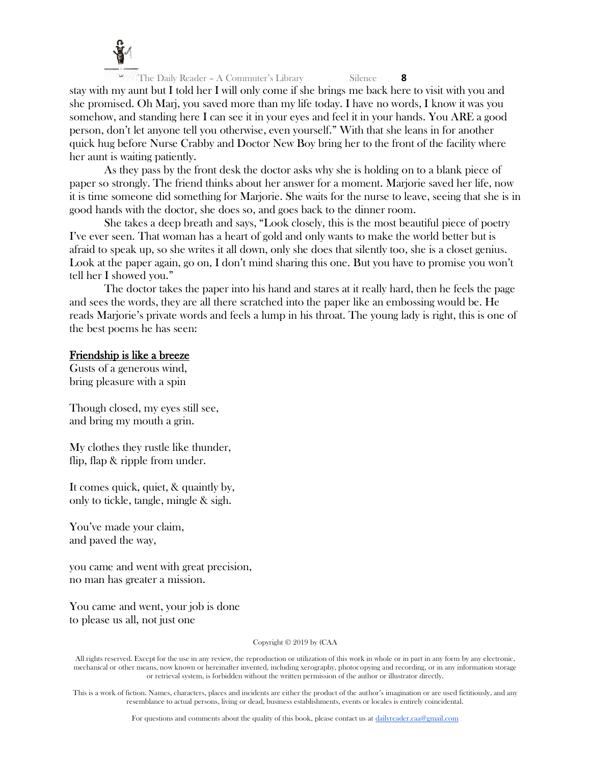

The Daily Reader - A Commuter's Library Silence **8** stay with my aunt but I told her I will only come if she brings me back here to visit with you and she promised. Oh Marj, you saved more than my life today. I have no words, I know it was you somehow, and standing here I can see it in your eyes and feel it in your hands. You ARE a good person, don't let anyone tell you otherwise, even yourself." With that she leans in for another quick hug before Nurse Crabby and Doctor New Boy bring her to the front of the facility where her aunt is waiting patiently.

As they pass by the front desk the doctor asks why she is holding on to a blank piece of paper so strongly. The friend thinks about her answer for a moment. Marjorie saved her life, now it is time someone did something for Marjorie. She waits for the nurse to leave, seeing that she is in good hands with the doctor, she does so, and goes back to the dinner room.

She takes a deep breath and says, "Look closely, this is the most beautiful piece of poetry I've ever seen. That woman has a heart of gold and only wants to make the world better but is afraid to speak up, so she writes it all down, only she does that silently too, she is a closet genius. Look at the paper again, go on, I don't mind sharing this one. But you have to promise you won't tell her I showed you."

The doctor takes the paper into his hand and stares at it really hard, then he feels the page and sees the words, they are all there scratched into the paper like an embossing would be. He reads Marjorie's private words and feels a lump in his throat. The young lady is right, this is one of the best poems he has seen:

# Friendship is like a breeze

Gusts of a generous wind, bring pleasure with a spin

Though closed, my eyes still see, and bring my mouth a grin.

My clothes they rustle like thunder, flip, flap & ripple from under.

It comes quick, quiet, & quaintly by, only to tickle, tangle, mingle & sigh.

You've made your claim, and paved the way,

you came and went with great precision, no man has greater a mission.

You came and went, your job is done to please us all, not just one

Copyright © 2019 by (CAA

All rights reserved. Except for the use in any review, the reproduction or utilization of this work in whole or in part in any form by any electronic, mechanical or other means, now known or hereinafter invented, including xerography, photocopying and recording, or in any information storage or retrieval system, is forbidden without the written permission of the author or illustrator directly.

This is a work of fiction. Names, characters, places and incidents are either the product of the author's imagination or are used fictitiously, and any resemblance to actual persons, living or dead, business establishments, events or locales is entirely coincidental.

For questions and comments about the quality of this book, please contact us at [dailyreader.caa@gmail.com](mailto:dailyreader.caa@gmail.com)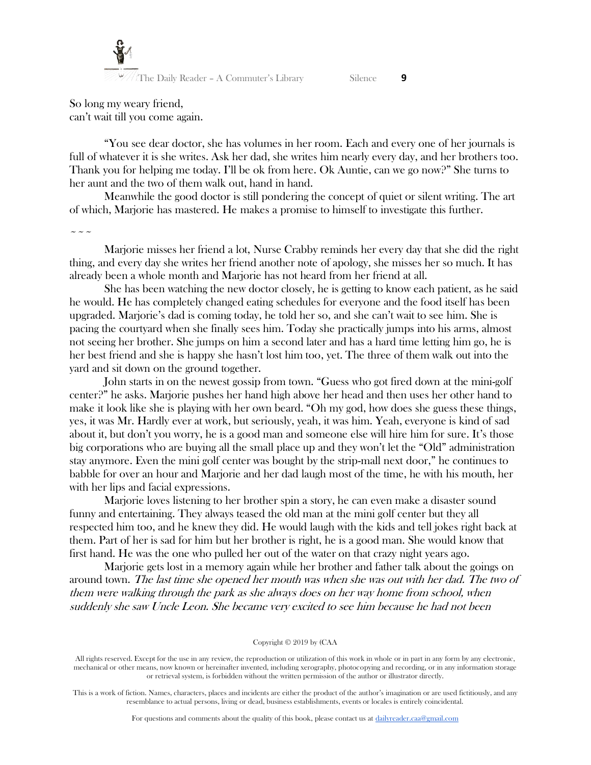

So long my weary friend, can't wait till you come again.

"You see dear doctor, she has volumes in her room. Each and every one of her journals is full of whatever it is she writes. Ask her dad, she writes him nearly every day, and her brothers too. Thank you for helping me today. I'll be ok from here. Ok Auntie, can we go now?" She turns to her aunt and the two of them walk out, hand in hand.

Meanwhile the good doctor is still pondering the concept of quiet or silent writing. The art of which, Marjorie has mastered. He makes a promise to himself to investigate this further.

 $\sim$   $\sim$   $\sim$ 

Marjorie misses her friend a lot, Nurse Crabby reminds her every day that she did the right thing, and every day she writes her friend another note of apology, she misses her so much. It has already been a whole month and Marjorie has not heard from her friend at all.

She has been watching the new doctor closely, he is getting to know each patient, as he said he would. He has completely changed eating schedules for everyone and the food itself has been upgraded. Marjorie's dad is coming today, he told her so, and she can't wait to see him. She is pacing the courtyard when she finally sees him. Today she practically jumps into his arms, almost not seeing her brother. She jumps on him a second later and has a hard time letting him go, he is her best friend and she is happy she hasn't lost him too, yet. The three of them walk out into the yard and sit down on the ground together.

John starts in on the newest gossip from town. "Guess who got fired down at the mini-golf center?" he asks. Marjorie pushes her hand high above her head and then uses her other hand to make it look like she is playing with her own beard. "Oh my god, how does she guess these things, yes, it was Mr. Hardly ever at work, but seriously, yeah, it was him. Yeah, everyone is kind of sad about it, but don't you worry, he is a good man and someone else will hire him for sure. It's those big corporations who are buying all the small place up and they won't let the "Old" administration stay anymore. Even the mini golf center was bought by the strip-mall next door," he continues to babble for over an hour and Marjorie and her dad laugh most of the time, he with his mouth, her with her lips and facial expressions.

Marjorie loves listening to her brother spin a story, he can even make a disaster sound funny and entertaining. They always teased the old man at the mini golf center but they all respected him too, and he knew they did. He would laugh with the kids and tell jokes right back at them. Part of her is sad for him but her brother is right, he is a good man. She would know that first hand. He was the one who pulled her out of the water on that crazy night years ago.

Marjorie gets lost in a memory again while her brother and father talk about the goings on around town. The last time she opened her mouth was when she was out with her dad. The two of them were walking through the park as she always does on her way home from school, when suddenly she saw Uncle Leon. She became very excited to see him because he had not been

Copyright © 2019 by (CAA

All rights reserved. Except for the use in any review, the reproduction or utilization of this work in whole or in part in any form by any electronic, mechanical or other means, now known or hereinafter invented, including xerography, photocopying and recording, or in any information storage or retrieval system, is forbidden without the written permission of the author or illustrator directly.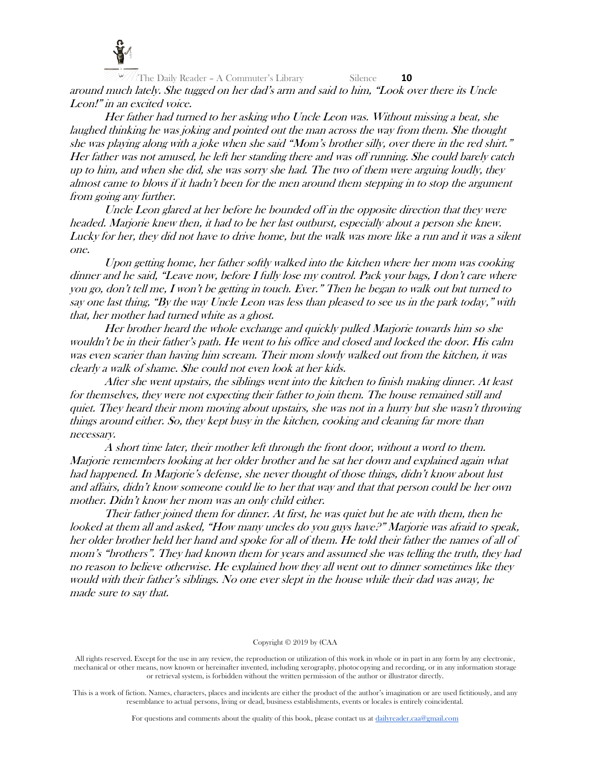

 $\frac{f}{f}$ The Daily Reader – A Commuter's Library Silence **10** around much lately. She tugged on her dad's arm and said to him, "Look over there its Uncle Leon!" in an excited voice.

Her father had turned to her asking who Uncle Leon was. Without missing a beat, she laughed thinking he was joking and pointed out the man across the way from them. She thought she was playing along with a joke when she said "Mom's brother silly, over there in the red shirt." Her father was not amused, he left her standing there and was off running. She could barely catch up to him, and when she did, she was sorry she had. The two of them were arguing loudly, they almost came to blows if it hadn't been for the men around them stepping in to stop the argument from going any further.

Uncle Leon glared at her before he bounded off in the opposite direction that they were headed. Marjorie knew then, it had to be her last outburst, especially about a person she knew. Lucky for her, they did not have to drive home, but the walk was more like a run and it was a silent one.

Upon getting home, her father softly walked into the kitchen where her mom was cooking dinner and he said, "Leave now, before I fully lose my control. Pack your bags, I don't care where you go, don't tell me, I won't be getting in touch. Ever." Then he began to walk out but turned to say one last thing, "By the way Uncle Leon was less than pleased to see us in the park today," with that, her mother had turned white as a ghost.

Her brother heard the whole exchange and quickly pulled Marjorie towards him so she wouldn't be in their father's path. He went to his office and closed and locked the door. His calm was even scarier than having him scream. Their mom slowly walked out from the kitchen, it was clearly a walk of shame. She could not even look at her kids.

After she went upstairs, the siblings went into the kitchen to finish making dinner. At least for themselves, they were not expecting their father to join them. The house remained still and quiet. They heard their mom moving about upstairs, she was not in a hurry but she wasn't throwing things around either. So, they kept busy in the kitchen, cooking and cleaning far more than necessary.

A short time later, their mother left through the front door, without a word to them. Marjorie remembers looking at her older brother and he sat her down and explained again what had happened. In Marjorie's defense, she never thought of those things, didn't know about lust and affairs, didn't know someone could lie to her that way and that that person could be her own mother. Didn't know her mom was an only child either.

Their father joined them for dinner. At first, he was quiet but he ate with them, then he looked at them all and asked, "How many uncles do you guys have?" Marjorie was afraid to speak, her older brother held her hand and spoke for all of them. He told their father the names of all of mom's "brothers". They had known them for years and assumed she was telling the truth, they had no reason to believe otherwise. He explained how they all went out to dinner sometimes like they would with their father's siblings. No one ever slept in the house while their dad was away, he made sure to say that.

# Copyright © 2019 by (CAA

All rights reserved. Except for the use in any review, the reproduction or utilization of this work in whole or in part in any form by any electronic, mechanical or other means, now known or hereinafter invented, including xerography, photocopying and recording, or in any information storage or retrieval system, is forbidden without the written permission of the author or illustrator directly.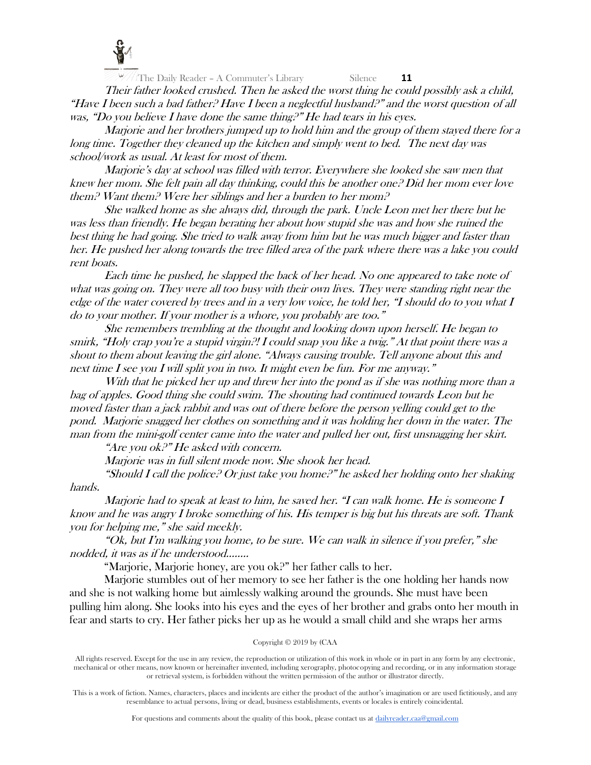

Their father looked crushed. Then he asked the worst thing he could possibly ask a child, "Have I been such a bad father? Have I been a neglectful husband?" and the worst question of all was, "Do you believe I have done the same thing.<sup>9"</sup> He had tears in his eyes.

Marjorie and her brothers jumped up to hold him and the group of them stayed there for a long time. Together they cleaned up the kitchen and simply went to bed. The next day was school/work as usual. At least for most of them.

Marjorie's day at school was filled with terror. Everywhere she looked she saw men that knew her mom. She felt pain all day thinking, could this be another one? Did her mom ever love them? Want them? Were her siblings and her a burden to her mom?

She walked home as she always did, through the park. Uncle Leon met her there but he was less than friendly. He began berating her about how stupid she was and how she ruined the best thing he had going. She tried to walk away from him but he was much bigger and faster than her. He pushed her along towards the tree filled area of the park where there was a lake you could rent boats.

Each time he pushed, he slapped the back of her head. No one appeared to take note of what was going on. They were all too busy with their own lives. They were standing right near the edge of the water covered by trees and in a very low voice, he told her, "I should do to you what I do to your mother. If your mother is a whore, you probably are too."

She remembers trembling at the thought and looking down upon herself. He began to smirk, "Holy crap you're a stupid virgin?! I could snap you like a twig." At that point there was a shout to them about leaving the girl alone. "Always causing trouble. Tell anyone about this and next time I see you I will split you in two. It might even be fun. For me anyway."

With that he picked her up and threw her into the pond as if she was nothing more than a bag of apples. Good thing she could swim. The shouting had continued towards Leon but he moved faster than a jack rabbit and was out of there before the person yelling could get to the pond. Marjorie snagged her clothes on something and it was holding her down in the water. The man from the mini-golf center came into the water and pulled her out, first unsnagging her skirt.

"Are you ok?" He asked with concern.

Marjorie was in full silent mode now. She shook her head.

"Should I call the police? Or just take you home?" he asked her holding onto her shaking hands.

Marjorie had to speak at least to him, he saved her. "I can walk home. He is someone I know and he was angry I broke something of his. His temper is big but his threats are soft. Thank you for helping me," she said meekly.

"Ok, but I'm walking you home, to be sure. We can walk in silence if you prefer," she nodded, it was as if he understood……..

"Marjorie, Marjorie honey, are you ok?" her father calls to her.

Marjorie stumbles out of her memory to see her father is the one holding her hands now and she is not walking home but aimlessly walking around the grounds. She must have been pulling him along. She looks into his eyes and the eyes of her brother and grabs onto her mouth in fear and starts to cry. Her father picks her up as he would a small child and she wraps her arms

# Copyright © 2019 by (CAA

All rights reserved. Except for the use in any review, the reproduction or utilization of this work in whole or in part in any form by any electronic, mechanical or other means, now known or hereinafter invented, including xerography, photocopying and recording, or in any information storage or retrieval system, is forbidden without the written permission of the author or illustrator directly.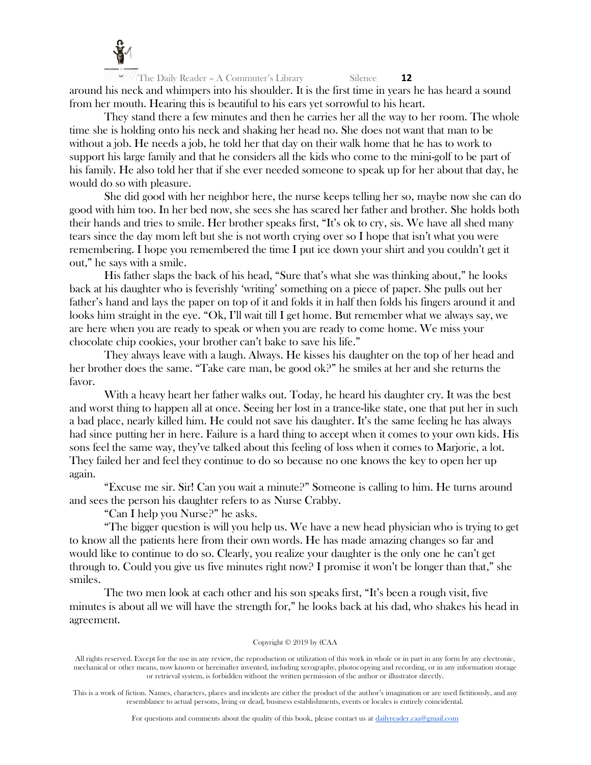

The Daily Reader – A Commuter's Library Silence **12** around his neck and whimpers into his shoulder. It is the first time in years he has heard a sound from her mouth. Hearing this is beautiful to his ears yet sorrowful to his heart.

They stand there a few minutes and then he carries her all the way to her room. The whole time she is holding onto his neck and shaking her head no. She does not want that man to be without a job. He needs a job, he told her that day on their walk home that he has to work to support his large family and that he considers all the kids who come to the mini-golf to be part of his family. He also told her that if she ever needed someone to speak up for her about that day, he would do so with pleasure.

She did good with her neighbor here, the nurse keeps telling her so, maybe now she can do good with him too. In her bed now, she sees she has scared her father and brother. She holds both their hands and tries to smile. Her brother speaks first, "It's ok to cry, sis. We have all shed many tears since the day mom left but she is not worth crying over so I hope that isn't what you were remembering. I hope you remembered the time I put ice down your shirt and you couldn't get it out," he says with a smile.

His father slaps the back of his head, "Sure that's what she was thinking about," he looks back at his daughter who is feverishly 'writing' something on a piece of paper. She pulls out her father's hand and lays the paper on top of it and folds it in half then folds his fingers around it and looks him straight in the eye. "Ok, I'll wait till I get home. But remember what we always say, we are here when you are ready to speak or when you are ready to come home. We miss your chocolate chip cookies, your brother can't bake to save his life."

They always leave with a laugh. Always. He kisses his daughter on the top of her head and her brother does the same. "Take care man, be good ok?" he smiles at her and she returns the favor.

With a heavy heart her father walks out. Today, he heard his daughter cry. It was the best and worst thing to happen all at once. Seeing her lost in a trance-like state, one that put her in such a bad place, nearly killed him. He could not save his daughter. It's the same feeling he has always had since putting her in here. Failure is a hard thing to accept when it comes to your own kids. His sons feel the same way, they've talked about this feeling of loss when it comes to Marjorie, a lot. They failed her and feel they continue to do so because no one knows the key to open her up again.

"Excuse me sir. Sir! Can you wait a minute?" Someone is calling to him. He turns around and sees the person his daughter refers to as Nurse Crabby.

"Can I help you Nurse?" he asks.

"The bigger question is will you help us. We have a new head physician who is trying to get to know all the patients here from their own words. He has made amazing changes so far and would like to continue to do so. Clearly, you realize your daughter is the only one he can't get through to. Could you give us five minutes right now? I promise it won't be longer than that," she smiles.

The two men look at each other and his son speaks first, "It's been a rough visit, five minutes is about all we will have the strength for," he looks back at his dad, who shakes his head in agreement.

# Copyright © 2019 by (CAA

All rights reserved. Except for the use in any review, the reproduction or utilization of this work in whole or in part in any form by any electronic, mechanical or other means, now known or hereinafter invented, including xerography, photocopying and recording, or in any information storage or retrieval system, is forbidden without the written permission of the author or illustrator directly.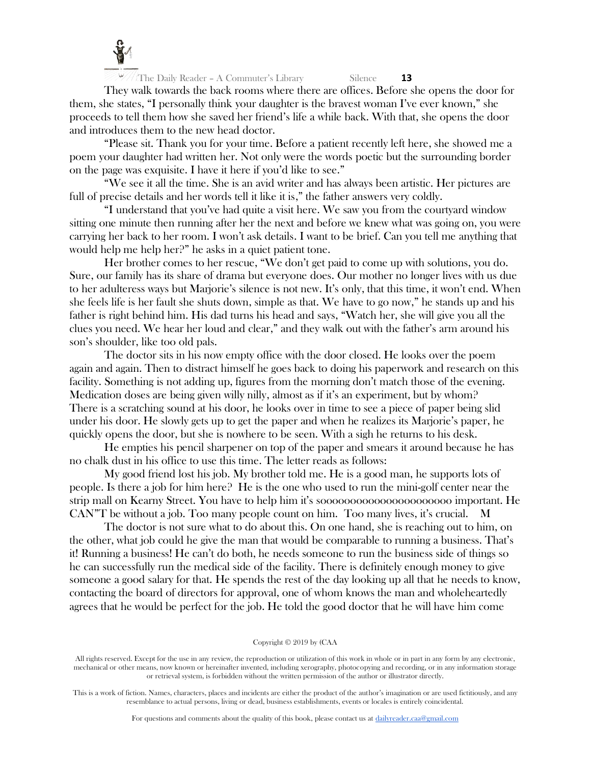

They walk towards the back rooms where there are offices. Before she opens the door for them, she states, "I personally think your daughter is the bravest woman I've ever known," she proceeds to tell them how she saved her friend's life a while back. With that, she opens the door and introduces them to the new head doctor.

"Please sit. Thank you for your time. Before a patient recently left here, she showed me a poem your daughter had written her. Not only were the words poetic but the surrounding border on the page was exquisite. I have it here if you'd like to see."

"We see it all the time. She is an avid writer and has always been artistic. Her pictures are full of precise details and her words tell it like it is," the father answers very coldly.

"I understand that you've had quite a visit here. We saw you from the courtyard window sitting one minute then running after her the next and before we knew what was going on, you were carrying her back to her room. I won't ask details. I want to be brief. Can you tell me anything that would help me help her?" he asks in a quiet patient tone.

Her brother comes to her rescue, "We don't get paid to come up with solutions, you do. Sure, our family has its share of drama but everyone does. Our mother no longer lives with us due to her adulteress ways but Marjorie's silence is not new. It's only, that this time, it won't end. When she feels life is her fault she shuts down, simple as that. We have to go now," he stands up and his father is right behind him. His dad turns his head and says, "Watch her, she will give you all the clues you need. We hear her loud and clear," and they walk out with the father's arm around his son's shoulder, like too old pals.

The doctor sits in his now empty office with the door closed. He looks over the poem again and again. Then to distract himself he goes back to doing his paperwork and research on this facility. Something is not adding up, figures from the morning don't match those of the evening. Medication doses are being given willy nilly, almost as if it's an experiment, but by whom? There is a scratching sound at his door, he looks over in time to see a piece of paper being slid under his door. He slowly gets up to get the paper and when he realizes its Marjorie's paper, he quickly opens the door, but she is nowhere to be seen. With a sigh he returns to his desk.

He empties his pencil sharpener on top of the paper and smears it around because he has no chalk dust in his office to use this time. The letter reads as follows:

My good friend lost his job. My brother told me. He is a good man, he supports lots of people. Is there a job for him here? He is the one who used to run the mini-golf center near the strip mall on Kearny Street. You have to help him it's soooooooooooooooooooooo important. He CAN"T be without a job. Too many people count on him. Too many lives, it's crucial. M

The doctor is not sure what to do about this. On one hand, she is reaching out to him, on the other, what job could he give the man that would be comparable to running a business. That's it! Running a business! He can't do both, he needs someone to run the business side of things so he can successfully run the medical side of the facility. There is definitely enough money to give someone a good salary for that. He spends the rest of the day looking up all that he needs to know, contacting the board of directors for approval, one of whom knows the man and wholeheartedly agrees that he would be perfect for the job. He told the good doctor that he will have him come

#### Copyright © 2019 by (CAA

All rights reserved. Except for the use in any review, the reproduction or utilization of this work in whole or in part in any form by any electronic, mechanical or other means, now known or hereinafter invented, including xerography, photocopying and recording, or in any information storage or retrieval system, is forbidden without the written permission of the author or illustrator directly.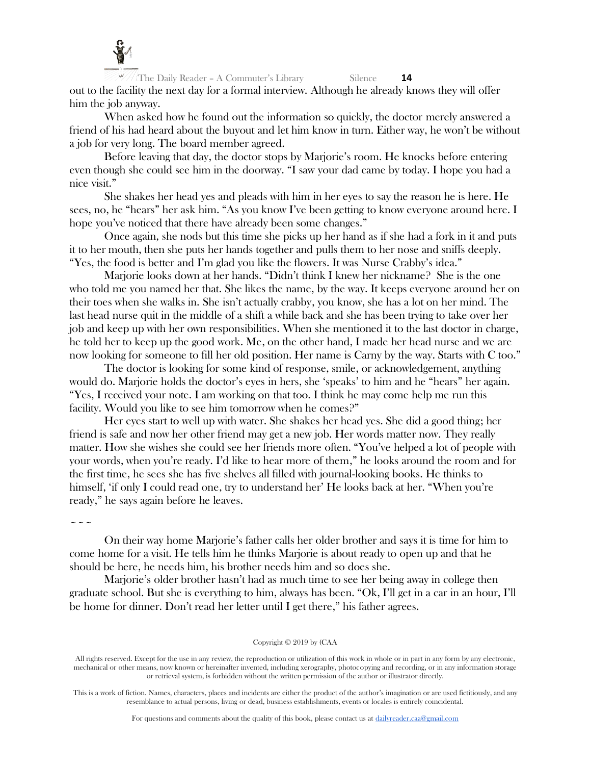

The Daily Reader - A Commuter's Library Silence **14** out to the facility the next day for a formal interview. Although he already knows they will offer him the job anyway.

When asked how he found out the information so quickly, the doctor merely answered a friend of his had heard about the buyout and let him know in turn. Either way, he won't be without a job for very long. The board member agreed.

Before leaving that day, the doctor stops by Marjorie's room. He knocks before entering even though she could see him in the doorway. "I saw your dad came by today. I hope you had a nice visit."

She shakes her head yes and pleads with him in her eyes to say the reason he is here. He sees, no, he "hears" her ask him. "As you know I've been getting to know everyone around here. I hope you've noticed that there have already been some changes."

Once again, she nods but this time she picks up her hand as if she had a fork in it and puts it to her mouth, then she puts her hands together and pulls them to her nose and sniffs deeply. "Yes, the food is better and I'm glad you like the flowers. It was Nurse Crabby's idea."

Marjorie looks down at her hands. "Didn't think I knew her nickname? She is the one who told me you named her that. She likes the name, by the way. It keeps everyone around her on their toes when she walks in. She isn't actually crabby, you know, she has a lot on her mind. The last head nurse quit in the middle of a shift a while back and she has been trying to take over her job and keep up with her own responsibilities. When she mentioned it to the last doctor in charge, he told her to keep up the good work. Me, on the other hand, I made her head nurse and we are now looking for someone to fill her old position. Her name is Carny by the way. Starts with C too."

The doctor is looking for some kind of response, smile, or acknowledgement, anything would do. Marjorie holds the doctor's eyes in hers, she 'speaks' to him and he "hears" her again. "Yes, I received your note. I am working on that too. I think he may come help me run this facility. Would you like to see him tomorrow when he comes?"

Her eyes start to well up with water. She shakes her head yes. She did a good thing; her friend is safe and now her other friend may get a new job. Her words matter now. They really matter. How she wishes she could see her friends more often. "You've helped a lot of people with your words, when you're ready. I'd like to hear more of them," he looks around the room and for the first time, he sees she has five shelves all filled with journal-looking books. He thinks to himself, 'if only I could read one, try to understand her' He looks back at her. "When you're ready," he says again before he leaves.

 $\sim$   $\sim$   $\sim$ 

On their way home Marjorie's father calls her older brother and says it is time for him to come home for a visit. He tells him he thinks Marjorie is about ready to open up and that he should be here, he needs him, his brother needs him and so does she.

Marjorie's older brother hasn't had as much time to see her being away in college then graduate school. But she is everything to him, always has been. "Ok, I'll get in a car in an hour, I'll be home for dinner. Don't read her letter until I get there," his father agrees.

# Copyright © 2019 by (CAA

All rights reserved. Except for the use in any review, the reproduction or utilization of this work in whole or in part in any form by any electronic, mechanical or other means, now known or hereinafter invented, including xerography, photocopying and recording, or in any information storage or retrieval system, is forbidden without the written permission of the author or illustrator directly.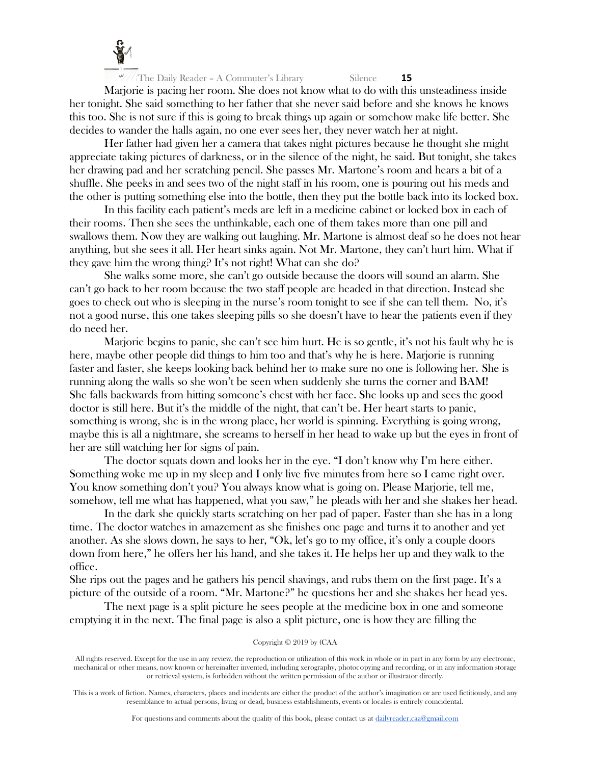

Marjorie is pacing her room. She does not know what to do with this unsteadiness inside her tonight. She said something to her father that she never said before and she knows he knows this too. She is not sure if this is going to break things up again or somehow make life better. She decides to wander the halls again, no one ever sees her, they never watch her at night.

Her father had given her a camera that takes night pictures because he thought she might appreciate taking pictures of darkness, or in the silence of the night, he said. But tonight, she takes her drawing pad and her scratching pencil. She passes Mr. Martone's room and hears a bit of a shuffle. She peeks in and sees two of the night staff in his room, one is pouring out his meds and the other is putting something else into the bottle, then they put the bottle back into its locked box.

In this facility each patient's meds are left in a medicine cabinet or locked box in each of their rooms. Then she sees the unthinkable, each one of them takes more than one pill and swallows them. Now they are walking out laughing. Mr. Martone is almost deaf so he does not hear anything, but she sees it all. Her heart sinks again. Not Mr. Martone, they can't hurt him. What if they gave him the wrong thing? It's not right! What can she do?

She walks some more, she can't go outside because the doors will sound an alarm. She can't go back to her room because the two staff people are headed in that direction. Instead she goes to check out who is sleeping in the nurse's room tonight to see if she can tell them. No, it's not a good nurse, this one takes sleeping pills so she doesn't have to hear the patients even if they do need her.

Marjorie begins to panic, she can't see him hurt. He is so gentle, it's not his fault why he is here, maybe other people did things to him too and that's why he is here. Marjorie is running faster and faster, she keeps looking back behind her to make sure no one is following her. She is running along the walls so she won't be seen when suddenly she turns the corner and BAM! She falls backwards from hitting someone's chest with her face. She looks up and sees the good doctor is still here. But it's the middle of the night, that can't be. Her heart starts to panic, something is wrong, she is in the wrong place, her world is spinning. Everything is going wrong, maybe this is all a nightmare, she screams to herself in her head to wake up but the eyes in front of her are still watching her for signs of pain.

The doctor squats down and looks her in the eye. "I don't know why I'm here either. Something woke me up in my sleep and I only live five minutes from here so I came right over. You know something don't you? You always know what is going on. Please Marjorie, tell me, somehow, tell me what has happened, what you saw," he pleads with her and she shakes her head.

In the dark she quickly starts scratching on her pad of paper. Faster than she has in a long time. The doctor watches in amazement as she finishes one page and turns it to another and yet another. As she slows down, he says to her, "Ok, let's go to my office, it's only a couple doors down from here," he offers her his hand, and she takes it. He helps her up and they walk to the office.

She rips out the pages and he gathers his pencil shavings, and rubs them on the first page. It's a picture of the outside of a room. "Mr. Martone?" he questions her and she shakes her head yes.

The next page is a split picture he sees people at the medicine box in one and someone emptying it in the next. The final page is also a split picture, one is how they are filling the

# Copyright © 2019 by (CAA

All rights reserved. Except for the use in any review, the reproduction or utilization of this work in whole or in part in any form by any electronic, mechanical or other means, now known or hereinafter invented, including xerography, photocopying and recording, or in any information storage or retrieval system, is forbidden without the written permission of the author or illustrator directly.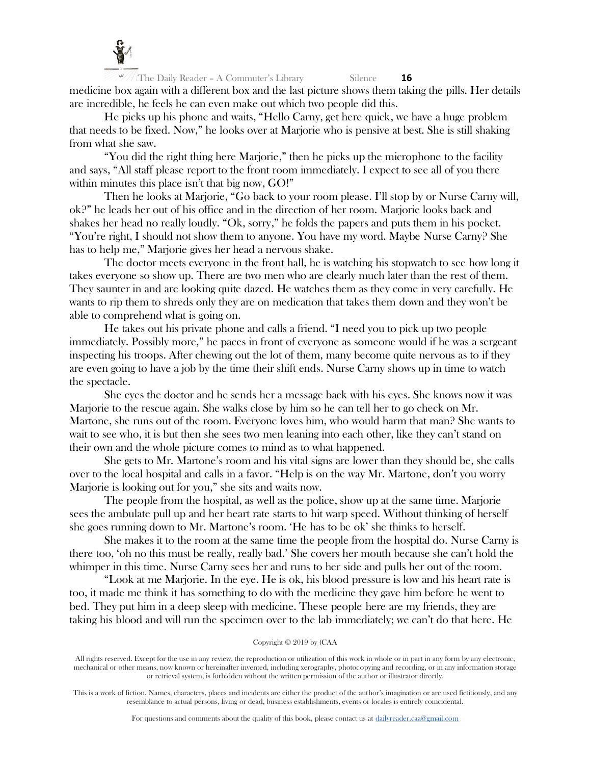

The Daily Reader - A Commuter's Library Silence **16** medicine box again with a different box and the last picture shows them taking the pills. Her details are incredible, he feels he can even make out which two people did this.

He picks up his phone and waits, "Hello Carny, get here quick, we have a huge problem that needs to be fixed. Now," he looks over at Marjorie who is pensive at best. She is still shaking from what she saw.

"You did the right thing here Marjorie," then he picks up the microphone to the facility and says, "All staff please report to the front room immediately. I expect to see all of you there within minutes this place isn't that big now, GO!"

Then he looks at Marjorie, "Go back to your room please. I'll stop by or Nurse Carny will, ok?" he leads her out of his office and in the direction of her room. Marjorie looks back and shakes her head no really loudly. "Ok, sorry," he folds the papers and puts them in his pocket. "You're right, I should not show them to anyone. You have my word. Maybe Nurse Carny? She has to help me," Marjorie gives her head a nervous shake.

The doctor meets everyone in the front hall, he is watching his stopwatch to see how long it takes everyone so show up. There are two men who are clearly much later than the rest of them. They saunter in and are looking quite dazed. He watches them as they come in very carefully. He wants to rip them to shreds only they are on medication that takes them down and they won't be able to comprehend what is going on.

He takes out his private phone and calls a friend. "I need you to pick up two people immediately. Possibly more," he paces in front of everyone as someone would if he was a sergeant inspecting his troops. After chewing out the lot of them, many become quite nervous as to if they are even going to have a job by the time their shift ends. Nurse Carny shows up in time to watch the spectacle.

She eyes the doctor and he sends her a message back with his eyes. She knows now it was Marjorie to the rescue again. She walks close by him so he can tell her to go check on Mr. Martone, she runs out of the room. Everyone loves him, who would harm that man? She wants to wait to see who, it is but then she sees two men leaning into each other, like they can't stand on their own and the whole picture comes to mind as to what happened.

She gets to Mr. Martone's room and his vital signs are lower than they should be, she calls over to the local hospital and calls in a favor. "Help is on the way Mr. Martone, don't you worry Marjorie is looking out for you," she sits and waits now.

The people from the hospital, as well as the police, show up at the same time. Marjorie sees the ambulate pull up and her heart rate starts to hit warp speed. Without thinking of herself she goes running down to Mr. Martone's room. 'He has to be ok' she thinks to herself.

She makes it to the room at the same time the people from the hospital do. Nurse Carny is there too, 'oh no this must be really, really bad.' She covers her mouth because she can't hold the whimper in this time. Nurse Carny sees her and runs to her side and pulls her out of the room.

"Look at me Marjorie. In the eye. He is ok, his blood pressure is low and his heart rate is too, it made me think it has something to do with the medicine they gave him before he went to bed. They put him in a deep sleep with medicine. These people here are my friends, they are taking his blood and will run the specimen over to the lab immediately; we can't do that here. He

# Copyright © 2019 by (CAA

All rights reserved. Except for the use in any review, the reproduction or utilization of this work in whole or in part in any form by any electronic, mechanical or other means, now known or hereinafter invented, including xerography, photocopying and recording, or in any information storage or retrieval system, is forbidden without the written permission of the author or illustrator directly.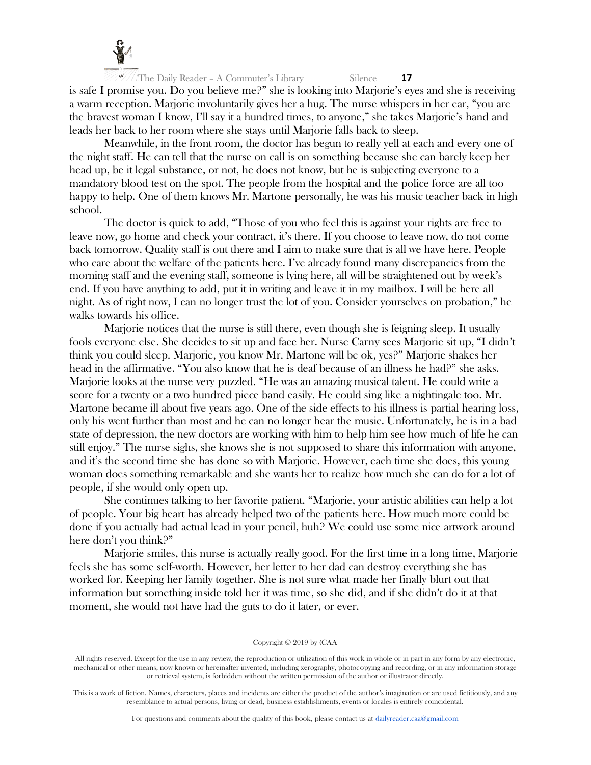

The Daily Reader – A Commuter's Library Silence **17** is safe I promise you. Do you believe me?" she is looking into Marjorie's eyes and she is receiving a warm reception. Marjorie involuntarily gives her a hug. The nurse whispers in her ear, "you are the bravest woman I know, I'll say it a hundred times, to anyone," she takes Marjorie's hand and leads her back to her room where she stays until Marjorie falls back to sleep.

Meanwhile, in the front room, the doctor has begun to really yell at each and every one of the night staff. He can tell that the nurse on call is on something because she can barely keep her head up, be it legal substance, or not, he does not know, but he is subjecting everyone to a mandatory blood test on the spot. The people from the hospital and the police force are all too happy to help. One of them knows Mr. Martone personally, he was his music teacher back in high school.

The doctor is quick to add, "Those of you who feel this is against your rights are free to leave now, go home and check your contract, it's there. If you choose to leave now, do not come back tomorrow. Quality staff is out there and I aim to make sure that is all we have here. People who care about the welfare of the patients here. I've already found many discrepancies from the morning staff and the evening staff, someone is lying here, all will be straightened out by week's end. If you have anything to add, put it in writing and leave it in my mailbox. I will be here all night. As of right now, I can no longer trust the lot of you. Consider yourselves on probation," he walks towards his office.

Marjorie notices that the nurse is still there, even though she is feigning sleep. It usually fools everyone else. She decides to sit up and face her. Nurse Carny sees Marjorie sit up, "I didn't think you could sleep. Marjorie, you know Mr. Martone will be ok, yes?" Marjorie shakes her head in the affirmative. "You also know that he is deaf because of an illness he had?" she asks. Marjorie looks at the nurse very puzzled. "He was an amazing musical talent. He could write a score for a twenty or a two hundred piece band easily. He could sing like a nightingale too. Mr. Martone became ill about five years ago. One of the side effects to his illness is partial hearing loss, only his went further than most and he can no longer hear the music. Unfortunately, he is in a bad state of depression, the new doctors are working with him to help him see how much of life he can still enjoy." The nurse sighs, she knows she is not supposed to share this information with anyone, and it's the second time she has done so with Marjorie. However, each time she does, this young woman does something remarkable and she wants her to realize how much she can do for a lot of people, if she would only open up.

She continues talking to her favorite patient. "Marjorie, your artistic abilities can help a lot of people. Your big heart has already helped two of the patients here. How much more could be done if you actually had actual lead in your pencil, huh? We could use some nice artwork around here don't you think?"

Marjorie smiles, this nurse is actually really good. For the first time in a long time, Marjorie feels she has some self-worth. However, her letter to her dad can destroy everything she has worked for. Keeping her family together. She is not sure what made her finally blurt out that information but something inside told her it was time, so she did, and if she didn't do it at that moment, she would not have had the guts to do it later, or ever.

#### Copyright © 2019 by (CAA

All rights reserved. Except for the use in any review, the reproduction or utilization of this work in whole or in part in any form by any electronic, mechanical or other means, now known or hereinafter invented, including xerography, photocopying and recording, or in any information storage or retrieval system, is forbidden without the written permission of the author or illustrator directly.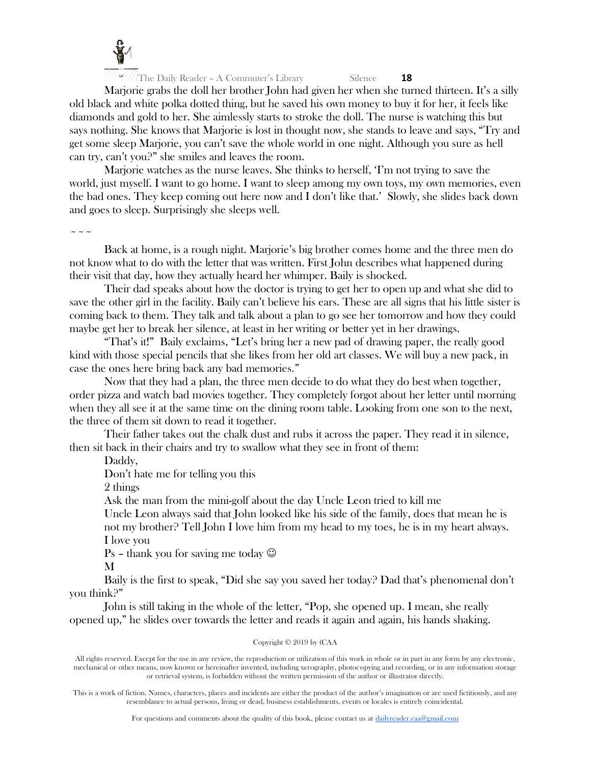

Marjorie grabs the doll her brother John had given her when she turned thirteen. It's a silly old black and white polka dotted thing, but he saved his own money to buy it for her, it feels like diamonds and gold to her. She aimlessly starts to stroke the doll. The nurse is watching this but says nothing. She knows that Marjorie is lost in thought now, she stands to leave and says, "Try and get some sleep Marjorie, you can't save the whole world in one night. Although you sure as hell can try, can't you?" she smiles and leaves the room.

Marjorie watches as the nurse leaves. She thinks to herself, 'I'm not trying to save the world, just myself. I want to go home. I want to sleep among my own toys, my own memories, even the bad ones. They keep coming out here now and I don't like that.' Slowly, she slides back down and goes to sleep. Surprisingly she sleeps well.

 $\sim$   $\sim$   $\sim$ 

Back at home, is a rough night. Marjorie's big brother comes home and the three men do not know what to do with the letter that was written. First John describes what happened during their visit that day, how they actually heard her whimper. Baily is shocked.

Their dad speaks about how the doctor is trying to get her to open up and what she did to save the other girl in the facility. Baily can't believe his ears. These are all signs that his little sister is coming back to them. They talk and talk about a plan to go see her tomorrow and how they could maybe get her to break her silence, at least in her writing or better yet in her drawings.

"That's it!" Baily exclaims, "Let's bring her a new pad of drawing paper, the really good kind with those special pencils that she likes from her old art classes. We will buy a new pack, in case the ones here bring back any bad memories."

Now that they had a plan, the three men decide to do what they do best when together, order pizza and watch bad movies together. They completely forgot about her letter until morning when they all see it at the same time on the dining room table. Looking from one son to the next, the three of them sit down to read it together.

Their father takes out the chalk dust and rubs it across the paper. They read it in silence, then sit back in their chairs and try to swallow what they see in front of them:

Daddy,

Don't hate me for telling you this

2 things

Ask the man from the mini-golf about the day Uncle Leon tried to kill me

Uncle Leon always said that John looked like his side of the family, does that mean he is not my brother? Tell John I love him from my head to my toes, he is in my heart always. I love you

Ps – thank you for saving me today  $\odot$ 

M

Baily is the first to speak, "Did she say you saved her today? Dad that's phenomenal don't you think?"

John is still taking in the whole of the letter, "Pop, she opened up. I mean, she really opened up," he slides over towards the letter and reads it again and again, his hands shaking.

# Copyright © 2019 by (CAA

All rights reserved. Except for the use in any review, the reproduction or utilization of this work in whole or in part in any form by any electronic, mechanical or other means, now known or hereinafter invented, including xerography, photocopying and recording, or in any information storage or retrieval system, is forbidden without the written permission of the author or illustrator directly.

This is a work of fiction. Names, characters, places and incidents are either the product of the author's imagination or are used fictitiously, and any resemblance to actual persons, living or dead, business establishments, events or locales is entirely coincidental.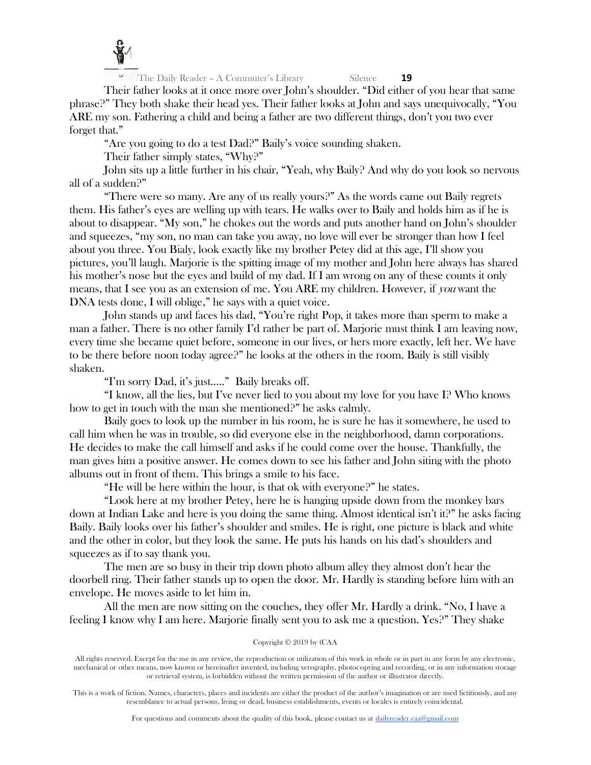

Their father looks at it once more over John's shoulder. "Did either of you hear that same phrase?" They both shake their head yes. Their father looks at John and says unequivocally, "You ARE my son. Fathering a child and being a father are two different things, don't you two ever forget that."

"Are you going to do a test Dad?" Baily's voice sounding shaken.

Their father simply states, "Why?"

John sits up a little further in his chair, "Yeah, why Baily? And why do you look so nervous all of a sudden?"

"There were so many. Are any of us really yours?" As the words came out Baily regrets them. His father's eyes are welling up with tears. He walks over to Baily and holds him as if he is about to disappear. "My son," he chokes out the words and puts another hand on John's shoulder and squeezes, "my son, no man can take you away, no love will ever be stronger than how I feel about you three. You Bialy, look exactly like my brother Petey did at this age, I'll show you pictures, you'll laugh. Marjorie is the spitting image of my mother and John here always has shared his mother's nose but the eyes and build of my dad. If I am wrong on any of these counts it only means, that I see you as an extension of me. You ARE my children. However, if you want the DNA tests done, I will oblige," he says with a quiet voice.

John stands up and faces his dad, "You're right Pop, it takes more than sperm to make a man a father. There is no other family I'd rather be part of. Marjorie must think I am leaving now, every time she became quiet before, someone in our lives, or hers more exactly, left her. We have to be there before noon today agree?" he looks at the others in the room. Baily is still visibly shaken.

"I'm sorry Dad, it's just….." Baily breaks off.

"I know, all the lies, but I've never lied to you about my love for you have I? Who knows how to get in touch with the man she mentioned?" he asks calmly.

Baily goes to look up the number in his room, he is sure he has it somewhere, he used to call him when he was in trouble, so did everyone else in the neighborhood, damn corporations. He decides to make the call himself and asks if he could come over the house. Thankfully, the man gives him a positive answer. He comes down to see his father and John siting with the photo albums out in front of them. This brings a smile to his face.

"He will be here within the hour, is that ok with everyone?" he states.

"Look here at my brother Petey, here he is hanging upside down from the monkey bars down at Indian Lake and here is you doing the same thing. Almost identical isn't it?" he asks facing Baily. Baily looks over his father's shoulder and smiles. He is right, one picture is black and white and the other in color, but they look the same. He puts his hands on his dad's shoulders and squeezes as if to say thank you.

The men are so busy in their trip down photo album alley they almost don't hear the doorbell ring. Their father stands up to open the door. Mr. Hardly is standing before him with an envelope. He moves aside to let him in.

All the men are now sitting on the couches, they offer Mr. Hardly a drink. "No, I have a feeling I know why I am here. Marjorie finally sent you to ask me a question. Yes?" They shake

# Copyright © 2019 by (CAA

All rights reserved. Except for the use in any review, the reproduction or utilization of this work in whole or in part in any form by any electronic, mechanical or other means, now known or hereinafter invented, including xerography, photocopying and recording, or in any information storage or retrieval system, is forbidden without the written permission of the author or illustrator directly.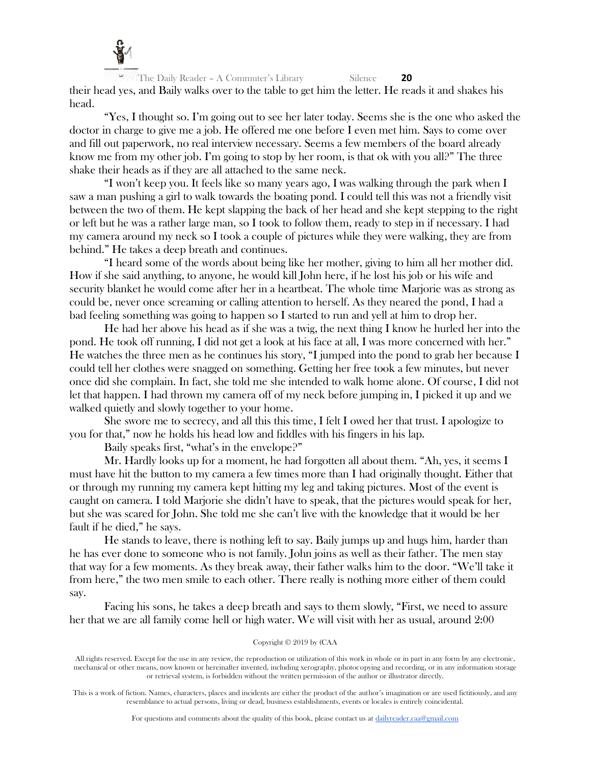

The Daily Reader – A Commuter's Library Silence **20** their head yes, and Baily walks over to the table to get him the letter. He reads it and shakes his head.

"Yes, I thought so. I'm going out to see her later today. Seems she is the one who asked the doctor in charge to give me a job. He offered me one before I even met him. Says to come over and fill out paperwork, no real interview necessary. Seems a few members of the board already know me from my other job. I'm going to stop by her room, is that ok with you all?" The three shake their heads as if they are all attached to the same neck.

"I won't keep you. It feels like so many years ago, I was walking through the park when I saw a man pushing a girl to walk towards the boating pond. I could tell this was not a friendly visit between the two of them. He kept slapping the back of her head and she kept stepping to the right or left but he was a rather large man, so I took to follow them, ready to step in if necessary. I had my camera around my neck so I took a couple of pictures while they were walking, they are from behind." He takes a deep breath and continues.

"I heard some of the words about being like her mother, giving to him all her mother did. How if she said anything, to anyone, he would kill John here, if he lost his job or his wife and security blanket he would come after her in a heartbeat. The whole time Marjorie was as strong as could be, never once screaming or calling attention to herself. As they neared the pond, I had a bad feeling something was going to happen so I started to run and yell at him to drop her.

He had her above his head as if she was a twig, the next thing I know he hurled her into the pond. He took off running, I did not get a look at his face at all, I was more concerned with her." He watches the three men as he continues his story, "I jumped into the pond to grab her because I could tell her clothes were snagged on something. Getting her free took a few minutes, but never once did she complain. In fact, she told me she intended to walk home alone. Of course, I did not let that happen. I had thrown my camera off of my neck before jumping in, I picked it up and we walked quietly and slowly together to your home.

She swore me to secrecy, and all this this time, I felt I owed her that trust. I apologize to you for that," now he holds his head low and fiddles with his fingers in his lap.

Baily speaks first, "what's in the envelope?"

Mr. Hardly looks up for a moment, he had forgotten all about them. "Ah, yes, it seems I must have hit the button to my camera a few times more than I had originally thought. Either that or through my running my camera kept hitting my leg and taking pictures. Most of the event is caught on camera. I told Marjorie she didn't have to speak, that the pictures would speak for her, but she was scared for John. She told me she can't live with the knowledge that it would be her fault if he died," he says.

He stands to leave, there is nothing left to say. Baily jumps up and hugs him, harder than he has ever done to someone who is not family. John joins as well as their father. The men stay that way for a few moments. As they break away, their father walks him to the door. "We'll take it from here," the two men smile to each other. There really is nothing more either of them could say.

Facing his sons, he takes a deep breath and says to them slowly, "First, we need to assure her that we are all family come hell or high water. We will visit with her as usual, around 2:00

# Copyright © 2019 by (CAA

All rights reserved. Except for the use in any review, the reproduction or utilization of this work in whole or in part in any form by any electronic, mechanical or other means, now known or hereinafter invented, including xerography, photocopying and recording, or in any information storage or retrieval system, is forbidden without the written permission of the author or illustrator directly.

This is a work of fiction. Names, characters, places and incidents are either the product of the author's imagination or are used fictitiously, and any resemblance to actual persons, living or dead, business establishments, events or locales is entirely coincidental.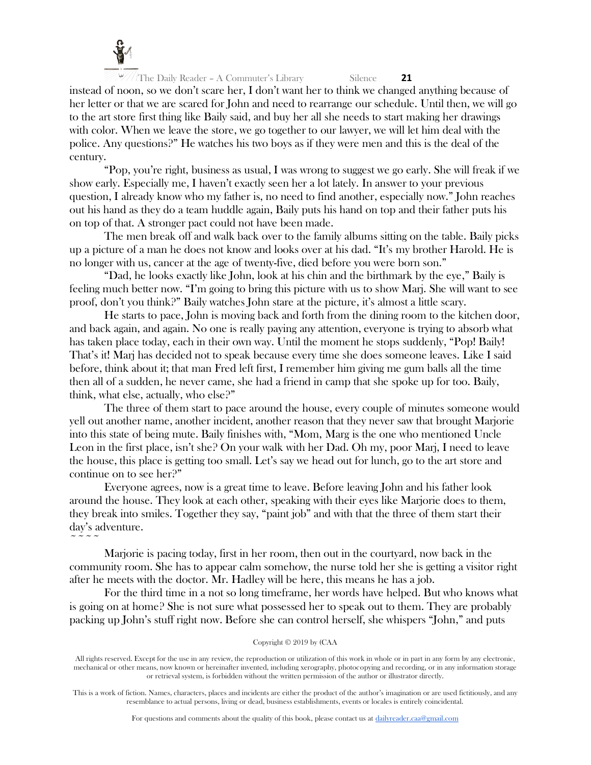

 $\sim$   $\sim$   $\sim$   $\sim$ 

 $\frac{1}{\pi}$ The Daily Reader – A Commuter's Library Silence **21** 

instead of noon, so we don't scare her, I don't want her to think we changed anything because of her letter or that we are scared for John and need to rearrange our schedule. Until then, we will go to the art store first thing like Baily said, and buy her all she needs to start making her drawings with color. When we leave the store, we go together to our lawyer, we will let him deal with the police. Any questions?" He watches his two boys as if they were men and this is the deal of the century.

"Pop, you're right, business as usual, I was wrong to suggest we go early. She will freak if we show early. Especially me, I haven't exactly seen her a lot lately. In answer to your previous question, I already know who my father is, no need to find another, especially now." John reaches out his hand as they do a team huddle again, Baily puts his hand on top and their father puts his on top of that. A stronger pact could not have been made.

The men break off and walk back over to the family albums sitting on the table. Baily picks up a picture of a man he does not know and looks over at his dad. "It's my brother Harold. He is no longer with us, cancer at the age of twenty-five, died before you were born son."

"Dad, he looks exactly like John, look at his chin and the birthmark by the eye," Baily is feeling much better now. "I'm going to bring this picture with us to show Marj. She will want to see proof, don't you think?" Baily watches John stare at the picture, it's almost a little scary.

He starts to pace, John is moving back and forth from the dining room to the kitchen door, and back again, and again. No one is really paying any attention, everyone is trying to absorb what has taken place today, each in their own way. Until the moment he stops suddenly, "Pop! Baily! That's it! Marj has decided not to speak because every time she does someone leaves. Like I said before, think about it; that man Fred left first, I remember him giving me gum balls all the time then all of a sudden, he never came, she had a friend in camp that she spoke up for too. Baily, think, what else, actually, who else?"

The three of them start to pace around the house, every couple of minutes someone would yell out another name, another incident, another reason that they never saw that brought Marjorie into this state of being mute. Baily finishes with, "Mom, Marg is the one who mentioned Uncle Leon in the first place, isn't she? On your walk with her Dad. Oh my, poor Marj, I need to leave the house, this place is getting too small. Let's say we head out for lunch, go to the art store and continue on to see her?"

Everyone agrees, now is a great time to leave. Before leaving John and his father look around the house. They look at each other, speaking with their eyes like Marjorie does to them, they break into smiles. Together they say, "paint job" and with that the three of them start their day's adventure.

Marjorie is pacing today, first in her room, then out in the courtyard, now back in the community room. She has to appear calm somehow, the nurse told her she is getting a visitor right after he meets with the doctor. Mr. Hadley will be here, this means he has a job.

For the third time in a not so long timeframe, her words have helped. But who knows what is going on at home? She is not sure what possessed her to speak out to them. They are probably packing up John's stuff right now. Before she can control herself, she whispers "John," and puts

# Copyright © 2019 by (CAA

All rights reserved. Except for the use in any review, the reproduction or utilization of this work in whole or in part in any form by any electronic, mechanical or other means, now known or hereinafter invented, including xerography, photocopying and recording, or in any information storage or retrieval system, is forbidden without the written permission of the author or illustrator directly.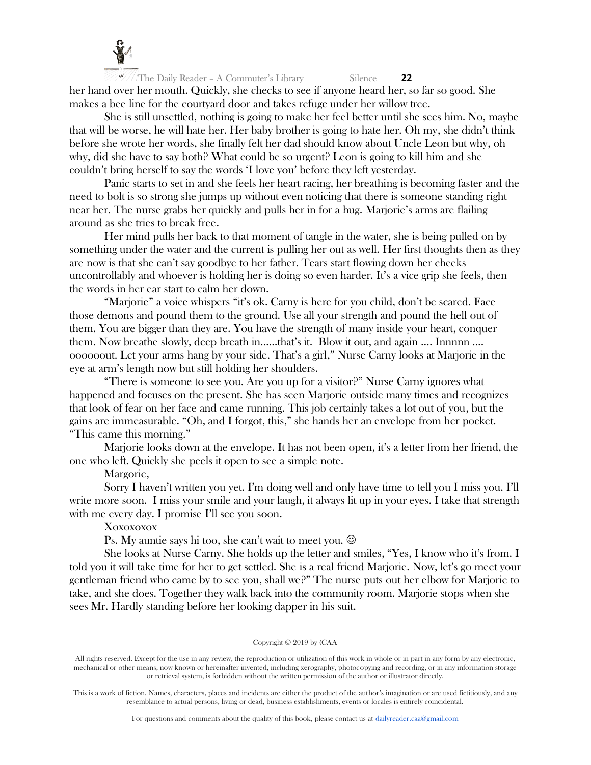

 $\frac{1}{\pi}$ The Daily Reader – A Commuter's Library Silence **22** her hand over her mouth. Quickly, she checks to see if anyone heard her, so far so good. She makes a bee line for the courtyard door and takes refuge under her willow tree.

She is still unsettled, nothing is going to make her feel better until she sees him. No, maybe that will be worse, he will hate her. Her baby brother is going to hate her. Oh my, she didn't think before she wrote her words, she finally felt her dad should know about Uncle Leon but why, oh why, did she have to say both? What could be so urgent? Leon is going to kill him and she couldn't bring herself to say the words 'I love you' before they left yesterday.

Panic starts to set in and she feels her heart racing, her breathing is becoming faster and the need to bolt is so strong she jumps up without even noticing that there is someone standing right near her. The nurse grabs her quickly and pulls her in for a hug. Marjorie's arms are flailing around as she tries to break free.

Her mind pulls her back to that moment of tangle in the water, she is being pulled on by something under the water and the current is pulling her out as well. Her first thoughts then as they are now is that she can't say goodbye to her father. Tears start flowing down her cheeks uncontrollably and whoever is holding her is doing so even harder. It's a vice grip she feels, then the words in her ear start to calm her down.

"Marjorie" a voice whispers "it's ok. Carny is here for you child, don't be scared. Face those demons and pound them to the ground. Use all your strength and pound the hell out of them. You are bigger than they are. You have the strength of many inside your heart, conquer them. Now breathe slowly, deep breath in……that's it. Blow it out, and again …. Innnnn …. oooooout. Let your arms hang by your side. That's a girl," Nurse Carny looks at Marjorie in the eye at arm's length now but still holding her shoulders.

"There is someone to see you. Are you up for a visitor?" Nurse Carny ignores what happened and focuses on the present. She has seen Marjorie outside many times and recognizes that look of fear on her face and came running. This job certainly takes a lot out of you, but the gains are immeasurable. "Oh, and I forgot, this," she hands her an envelope from her pocket. "This came this morning."

Marjorie looks down at the envelope. It has not been open, it's a letter from her friend, the one who left. Quickly she peels it open to see a simple note.

Margorie,

Sorry I haven't written you yet. I'm doing well and only have time to tell you I miss you. I'll write more soon. I miss your smile and your laugh, it always lit up in your eyes. I take that strength with me every day. I promise I'll see you soon.

Xoxoxoxox

Ps. My auntie says hi too, she can't wait to meet you.  $\odot$ 

She looks at Nurse Carny. She holds up the letter and smiles, "Yes, I know who it's from. I told you it will take time for her to get settled. She is a real friend Marjorie. Now, let's go meet your gentleman friend who came by to see you, shall we?" The nurse puts out her elbow for Marjorie to take, and she does. Together they walk back into the community room. Marjorie stops when she sees Mr. Hardly standing before her looking dapper in his suit.

#### Copyright © 2019 by (CAA

All rights reserved. Except for the use in any review, the reproduction or utilization of this work in whole or in part in any form by any electronic, mechanical or other means, now known or hereinafter invented, including xerography, photocopying and recording, or in any information storage or retrieval system, is forbidden without the written permission of the author or illustrator directly.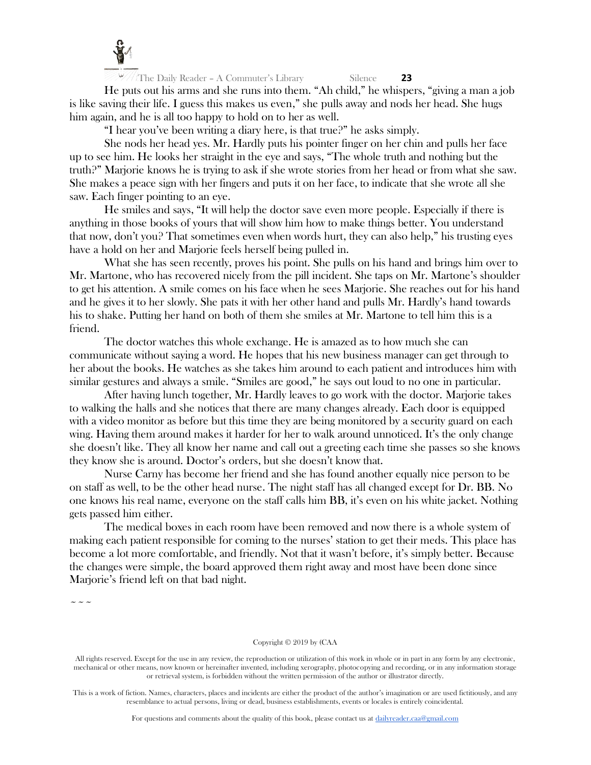

He puts out his arms and she runs into them. "Ah child," he whispers, "giving a man a job is like saving their life. I guess this makes us even," she pulls away and nods her head. She hugs him again, and he is all too happy to hold on to her as well.

"I hear you've been writing a diary here, is that true?" he asks simply.

She nods her head yes. Mr. Hardly puts his pointer finger on her chin and pulls her face up to see him. He looks her straight in the eye and says, "The whole truth and nothing but the truth?" Marjorie knows he is trying to ask if she wrote stories from her head or from what she saw. She makes a peace sign with her fingers and puts it on her face, to indicate that she wrote all she saw. Each finger pointing to an eye.

He smiles and says, "It will help the doctor save even more people. Especially if there is anything in those books of yours that will show him how to make things better. You understand that now, don't you? That sometimes even when words hurt, they can also help," his trusting eyes have a hold on her and Marjorie feels herself being pulled in.

What she has seen recently, proves his point. She pulls on his hand and brings him over to Mr. Martone, who has recovered nicely from the pill incident. She taps on Mr. Martone's shoulder to get his attention. A smile comes on his face when he sees Marjorie. She reaches out for his hand and he gives it to her slowly. She pats it with her other hand and pulls Mr. Hardly's hand towards his to shake. Putting her hand on both of them she smiles at Mr. Martone to tell him this is a friend.

The doctor watches this whole exchange. He is amazed as to how much she can communicate without saying a word. He hopes that his new business manager can get through to her about the books. He watches as she takes him around to each patient and introduces him with similar gestures and always a smile. "Smiles are good," he says out loud to no one in particular.

After having lunch together, Mr. Hardly leaves to go work with the doctor. Marjorie takes to walking the halls and she notices that there are many changes already. Each door is equipped with a video monitor as before but this time they are being monitored by a security guard on each wing. Having them around makes it harder for her to walk around unnoticed. It's the only change she doesn't like. They all know her name and call out a greeting each time she passes so she knows they know she is around. Doctor's orders, but she doesn't know that.

Nurse Carny has become her friend and she has found another equally nice person to be on staff as well, to be the other head nurse. The night staff has all changed except for Dr. BB. No one knows his real name, everyone on the staff calls him BB, it's even on his white jacket. Nothing gets passed him either.

The medical boxes in each room have been removed and now there is a whole system of making each patient responsible for coming to the nurses' station to get their meds. This place has become a lot more comfortable, and friendly. Not that it wasn't before, it's simply better. Because the changes were simple, the board approved them right away and most have been done since Marjorie's friend left on that bad night.

 $\sim$   $\sim$   $\sim$ 

#### Copyright © 2019 by (CAA

All rights reserved. Except for the use in any review, the reproduction or utilization of this work in whole or in part in any form by any electronic, mechanical or other means, now known or hereinafter invented, including xerography, photocopying and recording, or in any information storage or retrieval system, is forbidden without the written permission of the author or illustrator directly.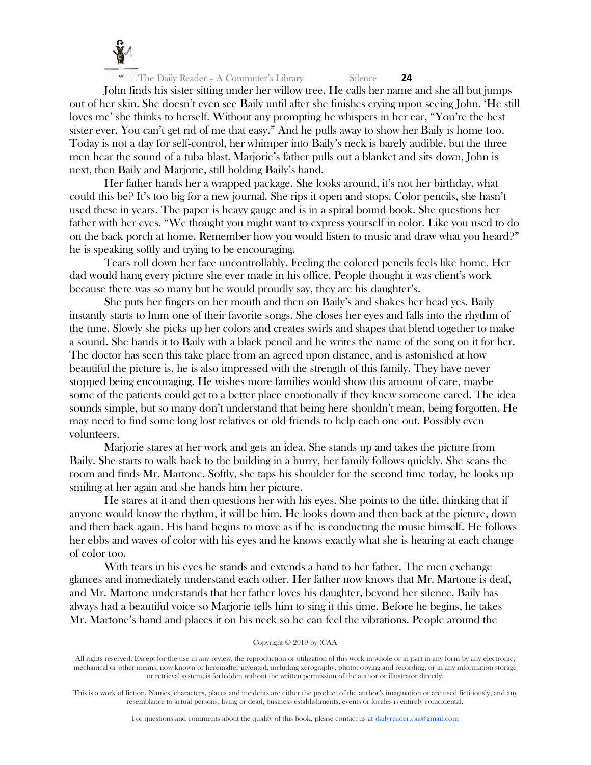

John finds his sister sitting under her willow tree. He calls her name and she all but jumps out of her skin. She doesn't even see Baily until after she finishes crying upon seeing John. 'He still loves me' she thinks to herself. Without any prompting he whispers in her ear, "You're the best sister ever. You can't get rid of me that easy." And he pulls away to show her Baily is home too. Today is not a day for self-control, her whimper into Baily's neck is barely audible, but the three men hear the sound of a tuba blast. Marjorie's father pulls out a blanket and sits down, John is next, then Baily and Marjorie, still holding Baily's hand.

Her father hands her a wrapped package. She looks around, it's not her birthday, what could this be? It's too big for a new journal. She rips it open and stops. Color pencils, she hasn't used these in years. The paper is heavy gauge and is in a spiral bound book. She questions her father with her eyes. "We thought you might want to express yourself in color. Like you used to do on the back porch at home. Remember how you would listen to music and draw what you heard?" he is speaking softly and trying to be encouraging.

Tears roll down her face uncontrollably. Feeling the colored pencils feels like home. Her dad would hang every picture she ever made in his office. People thought it was client's work because there was so many but he would proudly say, they are his daughter's.

She puts her fingers on her mouth and then on Baily's and shakes her head yes. Baily instantly starts to hum one of their favorite songs. She closes her eyes and falls into the rhythm of the tune. Slowly she picks up her colors and creates swirls and shapes that blend together to make a sound. She hands it to Baily with a black pencil and he writes the name of the song on it for her. The doctor has seen this take place from an agreed upon distance, and is astonished at how beautiful the picture is, he is also impressed with the strength of this family. They have never stopped being encouraging. He wishes more families would show this amount of care, maybe some of the patients could get to a better place emotionally if they knew someone cared. The idea sounds simple, but so many don't understand that being here shouldn't mean, being forgotten. He may need to find some long lost relatives or old friends to help each one out. Possibly even volunteers.

Marjorie stares at her work and gets an idea. She stands up and takes the picture from Baily. She starts to walk back to the building in a hurry, her family follows quickly. She scans the room and finds Mr. Martone. Softly, she taps his shoulder for the second time today, he looks up smiling at her again and she hands him her picture.

He stares at it and then questions her with his eyes. She points to the title, thinking that if anyone would know the rhythm, it will be him. He looks down and then back at the picture, down and then back again. His hand begins to move as if he is conducting the music himself. He follows her ebbs and waves of color with his eyes and he knows exactly what she is hearing at each change of color too.

With tears in his eyes he stands and extends a hand to her father. The men exchange glances and immediately understand each other. Her father now knows that Mr. Martone is deaf, and Mr. Martone understands that her father loves his daughter, beyond her silence. Baily has always had a beautiful voice so Marjorie tells him to sing it this time. Before he begins, he takes Mr. Martone's hand and places it on his neck so he can feel the vibrations. People around the

# Copyright © 2019 by (CAA

All rights reserved. Except for the use in any review, the reproduction or utilization of this work in whole or in part in any form by any electronic, mechanical or other means, now known or hereinafter invented, including xerography, photocopying and recording, or in any information storage or retrieval system, is forbidden without the written permission of the author or illustrator directly.

This is a work of fiction. Names, characters, places and incidents are either the product of the author's imagination or are used fictitiously, and any resemblance to actual persons, living or dead, business establishments, events or locales is entirely coincidental.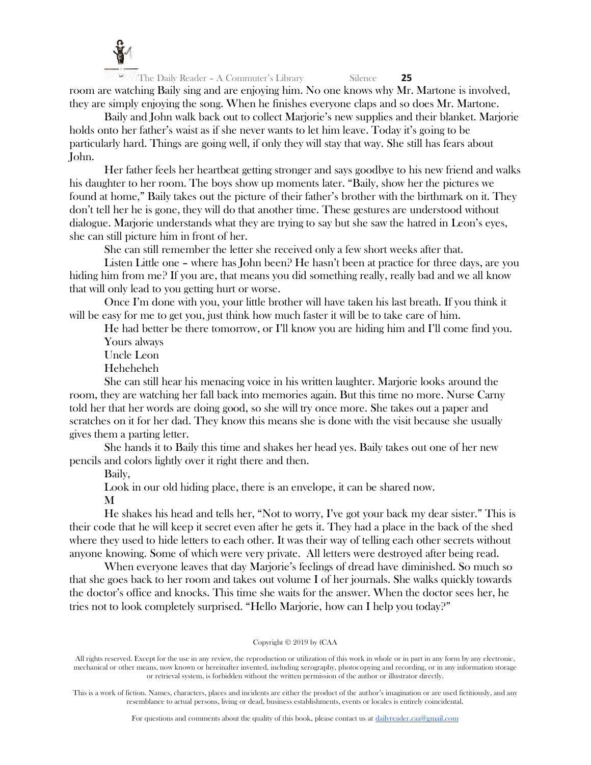

The Daily Reader – A Commuter's Library Silence **25** room are watching Baily sing and are enjoying him. No one knows why Mr. Martone is involved, they are simply enjoying the song. When he finishes everyone claps and so does Mr. Martone.

Baily and John walk back out to collect Marjorie's new supplies and their blanket. Marjorie holds onto her father's waist as if she never wants to let him leave. Today it's going to be particularly hard. Things are going well, if only they will stay that way. She still has fears about John.

Her father feels her heartbeat getting stronger and says goodbye to his new friend and walks his daughter to her room. The boys show up moments later. "Baily, show her the pictures we found at home," Baily takes out the picture of their father's brother with the birthmark on it. They don't tell her he is gone, they will do that another time. These gestures are understood without dialogue. Marjorie understands what they are trying to say but she saw the hatred in Leon's eyes, she can still picture him in front of her.

She can still remember the letter she received only a few short weeks after that.

Listen Little one – where has John been? He hasn't been at practice for three days, are you hiding him from me? If you are, that means you did something really, really bad and we all know that will only lead to you getting hurt or worse.

Once I'm done with you, your little brother will have taken his last breath. If you think it will be easy for me to get you, just think how much faster it will be to take care of him.

He had better be there tomorrow, or I'll know you are hiding him and I'll come find you. Yours always

Uncle Leon

Heheheheh

She can still hear his menacing voice in his written laughter. Marjorie looks around the room, they are watching her fall back into memories again. But this time no more. Nurse Carny told her that her words are doing good, so she will try once more. She takes out a paper and scratches on it for her dad. They know this means she is done with the visit because she usually gives them a parting letter.

She hands it to Baily this time and shakes her head yes. Baily takes out one of her new pencils and colors lightly over it right there and then.

Baily,

Look in our old hiding place, there is an envelope, it can be shared now.

M

He shakes his head and tells her, "Not to worry, I've got your back my dear sister." This is their code that he will keep it secret even after he gets it. They had a place in the back of the shed where they used to hide letters to each other. It was their way of telling each other secrets without anyone knowing. Some of which were very private. All letters were destroyed after being read.

When everyone leaves that day Marjorie's feelings of dread have diminished. So much so that she goes back to her room and takes out volume I of her journals. She walks quickly towards the doctor's office and knocks. This time she waits for the answer. When the doctor sees her, he tries not to look completely surprised. "Hello Marjorie, how can I help you today?"

# Copyright © 2019 by (CAA

All rights reserved. Except for the use in any review, the reproduction or utilization of this work in whole or in part in any form by any electronic, mechanical or other means, now known or hereinafter invented, including xerography, photocopying and recording, or in any information storage or retrieval system, is forbidden without the written permission of the author or illustrator directly.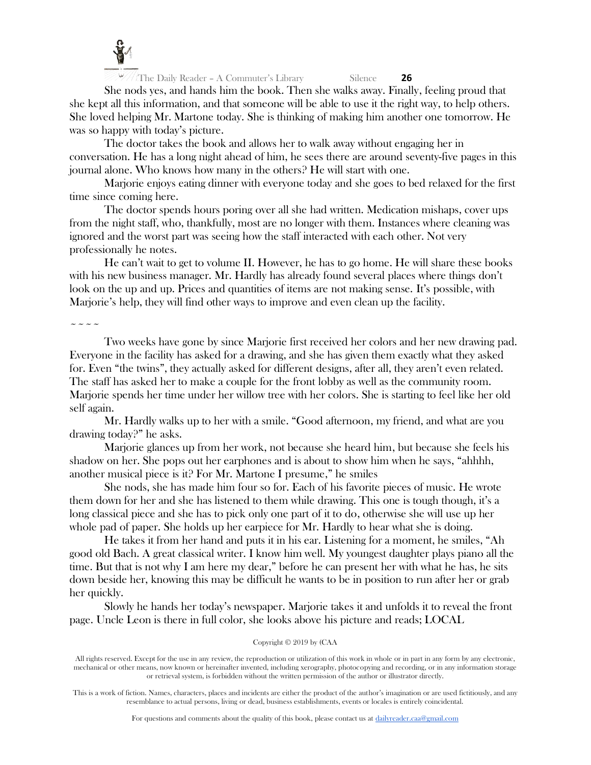

She nods yes, and hands him the book. Then she walks away. Finally, feeling proud that she kept all this information, and that someone will be able to use it the right way, to help others. She loved helping Mr. Martone today. She is thinking of making him another one tomorrow. He was so happy with today's picture.

The doctor takes the book and allows her to walk away without engaging her in conversation. He has a long night ahead of him, he sees there are around seventy-five pages in this journal alone. Who knows how many in the others? He will start with one.

Marjorie enjoys eating dinner with everyone today and she goes to bed relaxed for the first time since coming here.

The doctor spends hours poring over all she had written. Medication mishaps, cover ups from the night staff, who, thankfully, most are no longer with them. Instances where cleaning was ignored and the worst part was seeing how the staff interacted with each other. Not very professionally he notes.

He can't wait to get to volume II. However, he has to go home. He will share these books with his new business manager. Mr. Hardly has already found several places where things don't look on the up and up. Prices and quantities of items are not making sense. It's possible, with Marjorie's help, they will find other ways to improve and even clean up the facility.

 $\sim$   $\sim$   $\sim$   $\sim$ 

Two weeks have gone by since Marjorie first received her colors and her new drawing pad. Everyone in the facility has asked for a drawing, and she has given them exactly what they asked for. Even "the twins", they actually asked for different designs, after all, they aren't even related. The staff has asked her to make a couple for the front lobby as well as the community room. Marjorie spends her time under her willow tree with her colors. She is starting to feel like her old self again.

Mr. Hardly walks up to her with a smile. "Good afternoon, my friend, and what are you drawing today?" he asks.

Marjorie glances up from her work, not because she heard him, but because she feels his shadow on her. She pops out her earphones and is about to show him when he says, "ahhhh, another musical piece is it? For Mr. Martone I presume," he smiles

She nods, she has made him four so for. Each of his favorite pieces of music. He wrote them down for her and she has listened to them while drawing. This one is tough though, it's a long classical piece and she has to pick only one part of it to do, otherwise she will use up her whole pad of paper. She holds up her earpiece for Mr. Hardly to hear what she is doing.

He takes it from her hand and puts it in his ear. Listening for a moment, he smiles, "Ah good old Bach. A great classical writer. I know him well. My youngest daughter plays piano all the time. But that is not why I am here my dear," before he can present her with what he has, he sits down beside her, knowing this may be difficult he wants to be in position to run after her or grab her quickly.

Slowly he hands her today's newspaper. Marjorie takes it and unfolds it to reveal the front page. Uncle Leon is there in full color, she looks above his picture and reads; LOCAL

# Copyright © 2019 by (CAA

All rights reserved. Except for the use in any review, the reproduction or utilization of this work in whole or in part in any form by any electronic, mechanical or other means, now known or hereinafter invented, including xerography, photocopying and recording, or in any information storage or retrieval system, is forbidden without the written permission of the author or illustrator directly.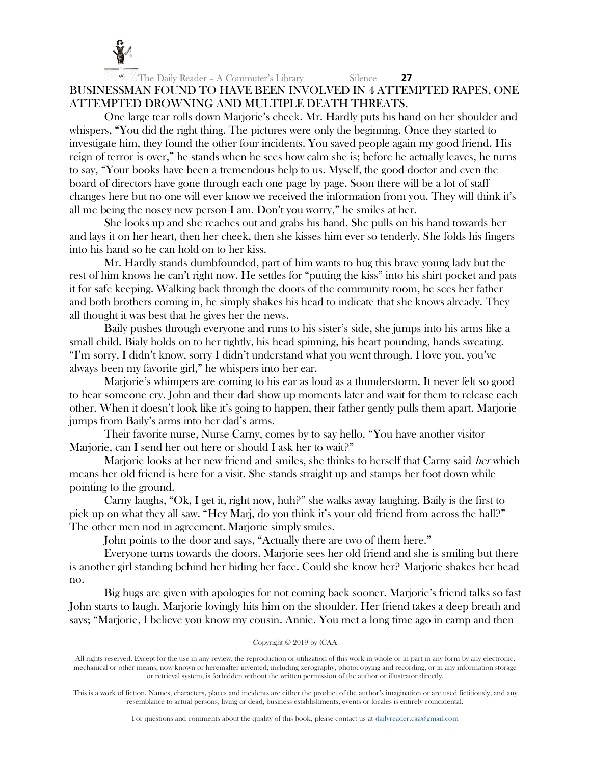

# The Daily Reader – A Commuter's Library Silence **27** BUSINESSMAN FOUND TO HAVE BEEN INVOLVED IN 4 ATTEMPTED RAPES, ONE ATTEMPTED DROWNING AND MULTIPLE DEATH THREATS.

One large tear rolls down Marjorie's cheek. Mr. Hardly puts his hand on her shoulder and whispers, "You did the right thing. The pictures were only the beginning. Once they started to investigate him, they found the other four incidents. You saved people again my good friend. His reign of terror is over," he stands when he sees how calm she is; before he actually leaves, he turns to say, "Your books have been a tremendous help to us. Myself, the good doctor and even the board of directors have gone through each one page by page. Soon there will be a lot of staff changes here but no one will ever know we received the information from you. They will think it's all me being the nosey new person I am. Don't you worry," he smiles at her.

She looks up and she reaches out and grabs his hand. She pulls on his hand towards her and lays it on her heart, then her cheek, then she kisses him ever so tenderly. She folds his fingers into his hand so he can hold on to her kiss.

Mr. Hardly stands dumbfounded, part of him wants to hug this brave young lady but the rest of him knows he can't right now. He settles for "putting the kiss" into his shirt pocket and pats it for safe keeping. Walking back through the doors of the community room, he sees her father and both brothers coming in, he simply shakes his head to indicate that she knows already. They all thought it was best that he gives her the news.

Baily pushes through everyone and runs to his sister's side, she jumps into his arms like a small child. Bialy holds on to her tightly, his head spinning, his heart pounding, hands sweating. "I'm sorry, I didn't know, sorry I didn't understand what you went through. I love you, you've always been my favorite girl," he whispers into her ear.

Marjorie's whimpers are coming to his ear as loud as a thunderstorm. It never felt so good to hear someone cry. John and their dad show up moments later and wait for them to release each other. When it doesn't look like it's going to happen, their father gently pulls them apart. Marjorie jumps from Baily's arms into her dad's arms.

Their favorite nurse, Nurse Carny, comes by to say hello. "You have another visitor Marjorie, can I send her out here or should I ask her to wait?"

Marjorie looks at her new friend and smiles, she thinks to herself that Carny said *her* which means her old friend is here for a visit. She stands straight up and stamps her foot down while pointing to the ground.

Carny laughs, "Ok, I get it, right now, huh?" she walks away laughing. Baily is the first to pick up on what they all saw. "Hey Marj, do you think it's your old friend from across the hall?" The other men nod in agreement. Marjorie simply smiles.

John points to the door and says, "Actually there are two of them here."

Everyone turns towards the doors. Marjorie sees her old friend and she is smiling but there is another girl standing behind her hiding her face. Could she know her? Marjorie shakes her head no.

Big hugs are given with apologies for not coming back sooner. Marjorie's friend talks so fast John starts to laugh. Marjorie lovingly hits him on the shoulder. Her friend takes a deep breath and says; "Marjorie, I believe you know my cousin. Annie. You met a long time ago in camp and then

# Copyright © 2019 by (CAA

All rights reserved. Except for the use in any review, the reproduction or utilization of this work in whole or in part in any form by any electronic, mechanical or other means, now known or hereinafter invented, including xerography, photocopying and recording, or in any information storage or retrieval system, is forbidden without the written permission of the author or illustrator directly.